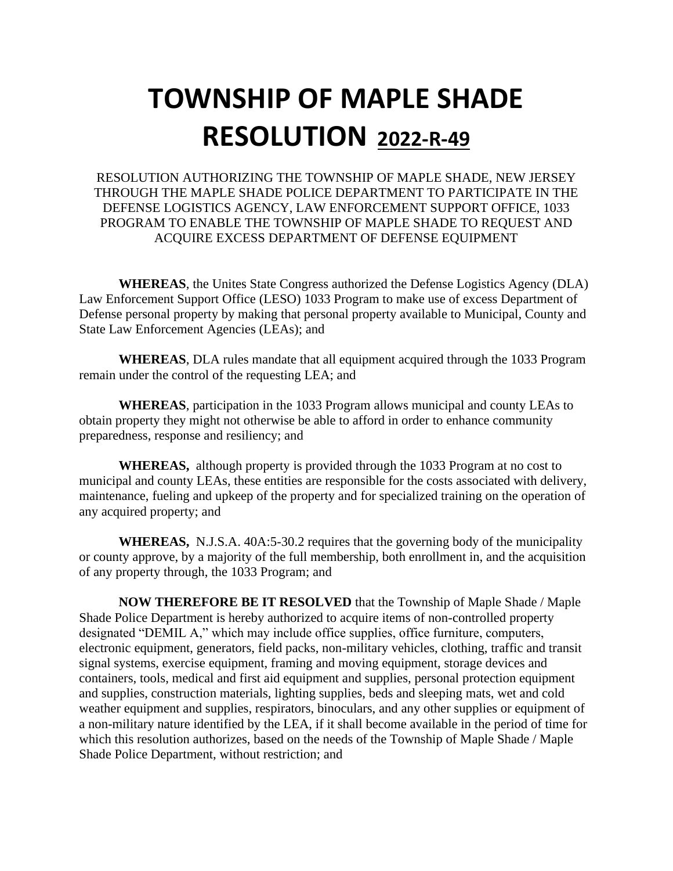## **TOWNSHIP OF MAPLE SHADE RESOLUTION 2022-R-49**

RESOLUTION AUTHORIZING THE TOWNSHIP OF MAPLE SHADE, NEW JERSEY THROUGH THE MAPLE SHADE POLICE DEPARTMENT TO PARTICIPATE IN THE DEFENSE LOGISTICS AGENCY, LAW ENFORCEMENT SUPPORT OFFICE, 1033 PROGRAM TO ENABLE THE TOWNSHIP OF MAPLE SHADE TO REQUEST AND ACQUIRE EXCESS DEPARTMENT OF DEFENSE EQUIPMENT

**WHEREAS**, the Unites State Congress authorized the Defense Logistics Agency (DLA) Law Enforcement Support Office (LESO) 1033 Program to make use of excess Department of Defense personal property by making that personal property available to Municipal, County and State Law Enforcement Agencies (LEAs); and

**WHEREAS**, DLA rules mandate that all equipment acquired through the 1033 Program remain under the control of the requesting LEA; and

**WHEREAS**, participation in the 1033 Program allows municipal and county LEAs to obtain property they might not otherwise be able to afford in order to enhance community preparedness, response and resiliency; and

**WHEREAS,** although property is provided through the 1033 Program at no cost to municipal and county LEAs, these entities are responsible for the costs associated with delivery, maintenance, fueling and upkeep of the property and for specialized training on the operation of any acquired property; and

**WHEREAS,** N.J.S.A. 40A:5-30.2 requires that the governing body of the municipality or county approve, by a majority of the full membership, both enrollment in, and the acquisition of any property through, the 1033 Program; and

**NOW THEREFORE BE IT RESOLVED** that the Township of Maple Shade / Maple Shade Police Department is hereby authorized to acquire items of non-controlled property designated "DEMIL A," which may include office supplies, office furniture, computers, electronic equipment, generators, field packs, non-military vehicles, clothing, traffic and transit signal systems, exercise equipment, framing and moving equipment, storage devices and containers, tools, medical and first aid equipment and supplies, personal protection equipment and supplies, construction materials, lighting supplies, beds and sleeping mats, wet and cold weather equipment and supplies, respirators, binoculars, and any other supplies or equipment of a non-military nature identified by the LEA, if it shall become available in the period of time for which this resolution authorizes, based on the needs of the Township of Maple Shade / Maple Shade Police Department, without restriction; and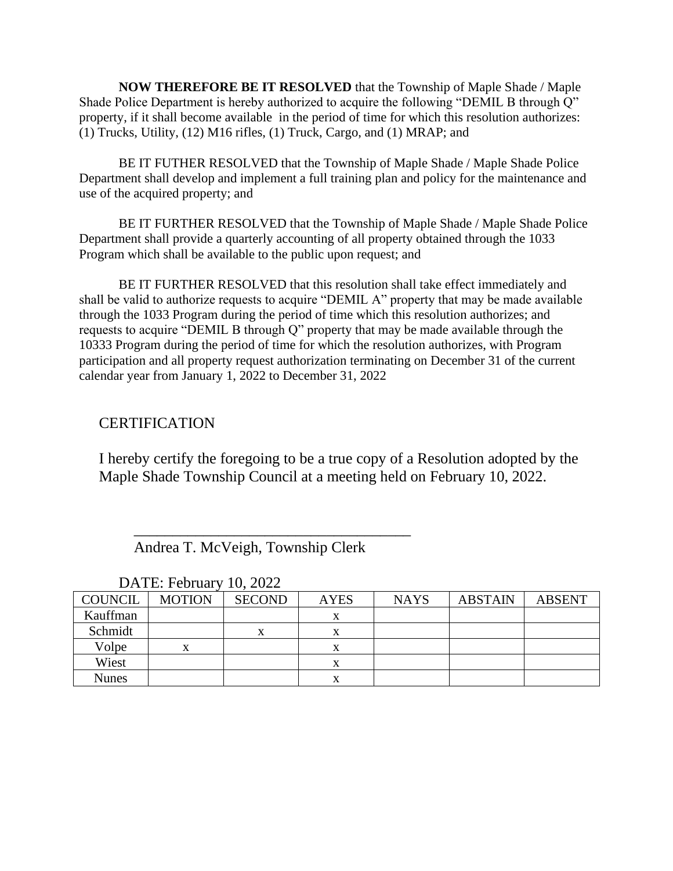**NOW THEREFORE BE IT RESOLVED** that the Township of Maple Shade / Maple Shade Police Department is hereby authorized to acquire the following "DEMIL B through Q" property, if it shall become available in the period of time for which this resolution authorizes: (1) Trucks, Utility, (12) M16 rifles, (1) Truck, Cargo, and (1) MRAP; and

BE IT FUTHER RESOLVED that the Township of Maple Shade / Maple Shade Police Department shall develop and implement a full training plan and policy for the maintenance and use of the acquired property; and

BE IT FURTHER RESOLVED that the Township of Maple Shade / Maple Shade Police Department shall provide a quarterly accounting of all property obtained through the 1033 Program which shall be available to the public upon request; and

BE IT FURTHER RESOLVED that this resolution shall take effect immediately and shall be valid to authorize requests to acquire "DEMIL A" property that may be made available through the 1033 Program during the period of time which this resolution authorizes; and requests to acquire "DEMIL B through Q" property that may be made available through the 10333 Program during the period of time for which the resolution authorizes, with Program participation and all property request authorization terminating on December 31 of the current calendar year from January 1, 2022 to December 31, 2022

## **CERTIFICATION**

I hereby certify the foregoing to be a true copy of a Resolution adopted by the Maple Shade Township Council at a meeting held on February 10, 2022.

Andrea T. McVeigh, Township Clerk

 $\overline{\phantom{a}}$  , which is the set of the set of the set of the set of the set of the set of the set of the set of the set of the set of the set of the set of the set of the set of the set of the set of the set of the set of

| <b>COUNCIL</b> | <b>MOTION</b> | <b>SECOND</b> | <b>AYES</b> | <b>NAYS</b> | <b>ABSTAIN</b> | <b>ABSENT</b> |
|----------------|---------------|---------------|-------------|-------------|----------------|---------------|
| Kauffman       |               |               | x           |             |                |               |
| Schmidt        |               | X             | л           |             |                |               |
| Volpe          | x             |               |             |             |                |               |
| Wiest          |               |               | л           |             |                |               |
| <b>Nunes</b>   |               |               | л           |             |                |               |

DATE: February 10, 2022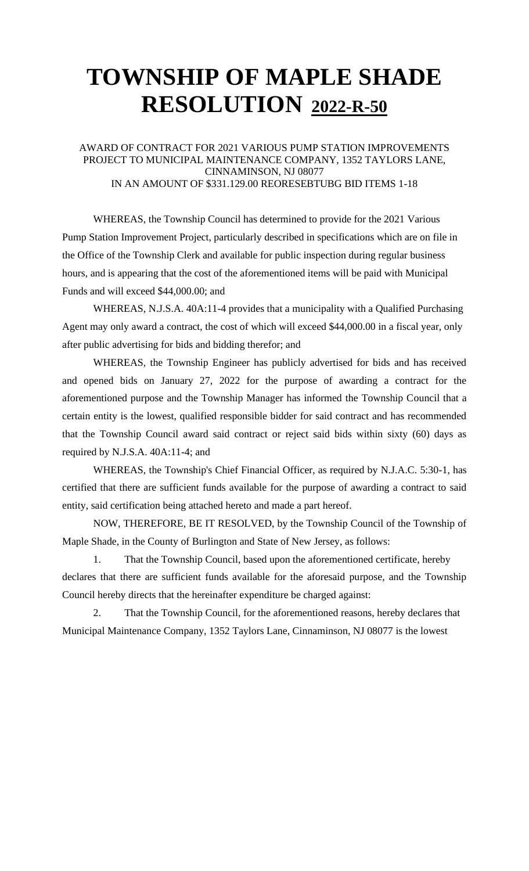## **TOWNSHIP OF MAPLE SHADE RESOLUTION 2022-R-50**

### AWARD OF CONTRACT FOR 2021 VARIOUS PUMP STATION IMPROVEMENTS PROJECT TO MUNICIPAL MAINTENANCE COMPANY, 1352 TAYLORS LANE, CINNAMINSON, NJ 08077 IN AN AMOUNT OF \$331.129.00 REORESEBTUBG BID ITEMS 1-18

WHEREAS, the Township Council has determined to provide for the 2021 Various Pump Station Improvement Project, particularly described in specifications which are on file in the Office of the Township Clerk and available for public inspection during regular business hours, and is appearing that the cost of the aforementioned items will be paid with Municipal Funds and will exceed \$44,000.00; and

WHEREAS, N.J.S.A. 40A:11-4 provides that a municipality with a Qualified Purchasing Agent may only award a contract, the cost of which will exceed \$44,000.00 in a fiscal year, only after public advertising for bids and bidding therefor; and

WHEREAS, the Township Engineer has publicly advertised for bids and has received and opened bids on January 27, 2022 for the purpose of awarding a contract for the aforementioned purpose and the Township Manager has informed the Township Council that a certain entity is the lowest, qualified responsible bidder for said contract and has recommended that the Township Council award said contract or reject said bids within sixty (60) days as required by N.J.S.A. 40A:11-4; and

WHEREAS, the Township's Chief Financial Officer, as required by N.J.A.C. 5:30-1, has certified that there are sufficient funds available for the purpose of awarding a contract to said entity, said certification being attached hereto and made a part hereof.

NOW, THEREFORE, BE IT RESOLVED, by the Township Council of the Township of Maple Shade, in the County of Burlington and State of New Jersey, as follows:

1. That the Township Council, based upon the aforementioned certificate, hereby declares that there are sufficient funds available for the aforesaid purpose, and the Township Council hereby directs that the hereinafter expenditure be charged against:

2. That the Township Council, for the aforementioned reasons, hereby declares that Municipal Maintenance Company, 1352 Taylors Lane, Cinnaminson, NJ 08077 is the lowest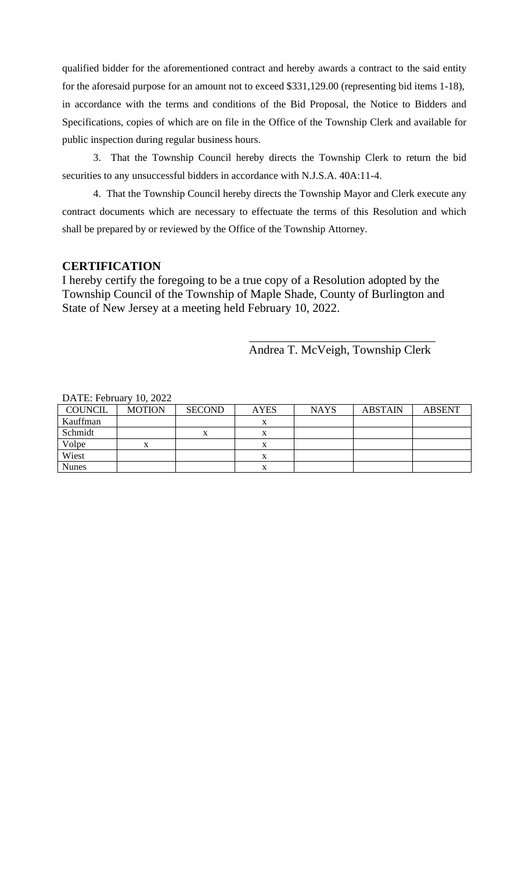qualified bidder for the aforementioned contract and hereby awards a contract to the said entity for the aforesaid purpose for an amount not to exceed \$331,129.00 (representing bid items 1-18), in accordance with the terms and conditions of the Bid Proposal, the Notice to Bidders and Specifications, copies of which are on file in the Office of the Township Clerk and available for public inspection during regular business hours.

3. That the Township Council hereby directs the Township Clerk to return the bid securities to any unsuccessful bidders in accordance with N.J.S.A. 40A:11-4.

4. That the Township Council hereby directs the Township Mayor and Clerk execute any contract documents which are necessary to effectuate the terms of this Resolution and which shall be prepared by or reviewed by the Office of the Township Attorney.

## **CERTIFICATION**

I hereby certify the foregoing to be a true copy of a Resolution adopted by the Township Council of the Township of Maple Shade, County of Burlington and State of New Jersey at a meeting held February 10, 2022.

Andrea T. McVeigh, Township Clerk

| $DATL$ . Protugal v TO, $2022$ |               |               |             |             |                |               |
|--------------------------------|---------------|---------------|-------------|-------------|----------------|---------------|
| <b>COUNCIL</b>                 | <b>MOTION</b> | <b>SECOND</b> | <b>AYES</b> | <b>NAYS</b> | <b>ABSTAIN</b> | <b>ABSENT</b> |
| Kauffman                       |               |               |             |             |                |               |
| Schmidt                        |               |               |             |             |                |               |
| Volpe                          |               |               |             |             |                |               |
| Wiest                          |               |               |             |             |                |               |
| <b>Nunes</b>                   |               |               |             |             |                |               |

DATE: February 10, 2022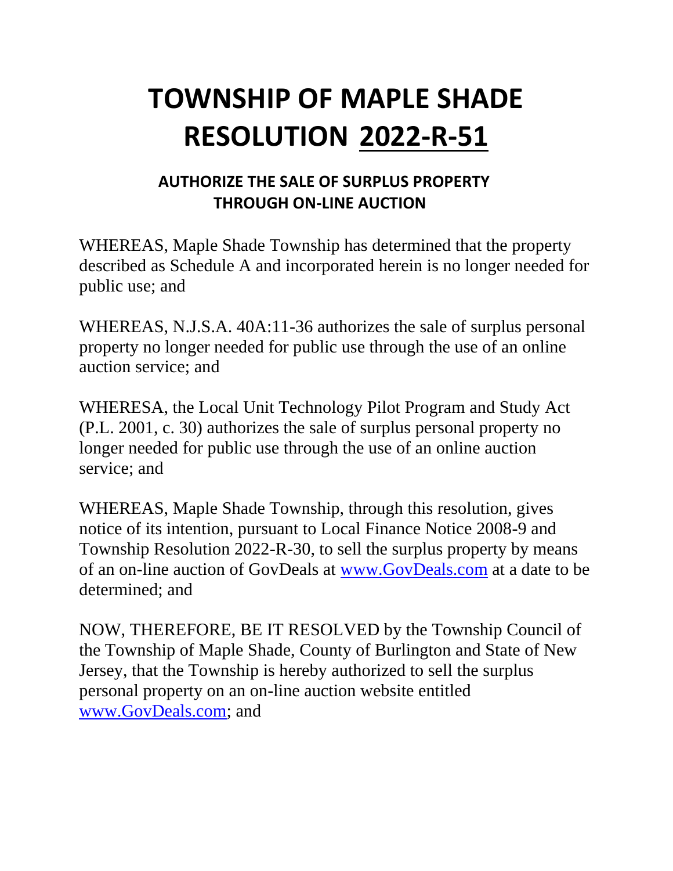# **TOWNSHIP OF MAPLE SHADE RESOLUTION 2022-R-51**

## **AUTHORIZE THE SALE OF SURPLUS PROPERTY THROUGH ON-LINE AUCTION**

WHEREAS, Maple Shade Township has determined that the property described as Schedule A and incorporated herein is no longer needed for public use; and

WHEREAS, N.J.S.A. 40A:11-36 authorizes the sale of surplus personal property no longer needed for public use through the use of an online auction service; and

WHERESA, the Local Unit Technology Pilot Program and Study Act (P.L. 2001, c. 30) authorizes the sale of surplus personal property no longer needed for public use through the use of an online auction service; and

WHEREAS, Maple Shade Township, through this resolution, gives notice of its intention, pursuant to Local Finance Notice 2008-9 and Township Resolution 2022-R-30, to sell the surplus property by means of an on-line auction of GovDeals at [www.GovDeals.com](http://www.govdeals.com/) at a date to be determined; and

NOW, THEREFORE, BE IT RESOLVED by the Township Council of the Township of Maple Shade, County of Burlington and State of New Jersey, that the Township is hereby authorized to sell the surplus personal property on an on-line auction website entitled [www.GovDeals.com;](http://www.govdeals.com/) and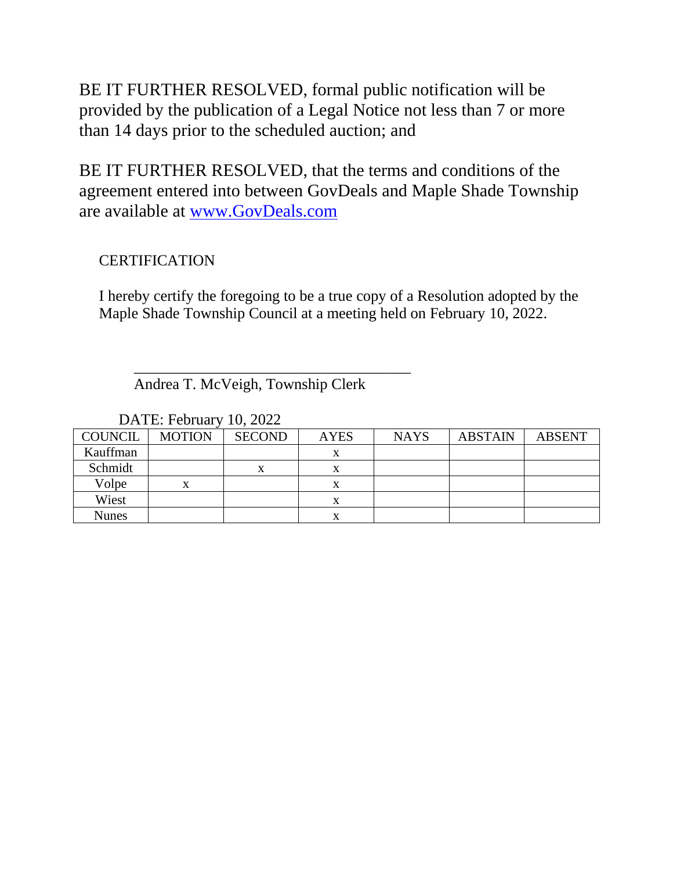BE IT FURTHER RESOLVED, formal public notification will be provided by the publication of a Legal Notice not less than 7 or more than 14 days prior to the scheduled auction; and

BE IT FURTHER RESOLVED, that the terms and conditions of the agreement entered into between GovDeals and Maple Shade Township are available at [www.GovDeals.com](http://www.govdeals.com/)

## **CERTIFICATION**

I hereby certify the foregoing to be a true copy of a Resolution adopted by the Maple Shade Township Council at a meeting held on February 10, 2022.

Andrea T. McVeigh, Township Clerk

 $\overline{\phantom{a}}$  , which is the set of the set of the set of the set of the set of the set of the set of the set of the set of the set of the set of the set of the set of the set of the set of the set of the set of the set of

| <b>COUNCIL</b> | <b>MOTION</b> | <b>SECOND</b> | <b>AYES</b> | <b>NAYS</b> | <b>ABSTAIN</b> | <b>ABSENT</b> |
|----------------|---------------|---------------|-------------|-------------|----------------|---------------|
| Kauffman       |               |               |             |             |                |               |
| Schmidt        |               |               |             |             |                |               |
| Volpe          |               |               |             |             |                |               |
| Wiest          |               |               |             |             |                |               |
| <b>Nunes</b>   |               |               |             |             |                |               |

DATE: February 10, 2022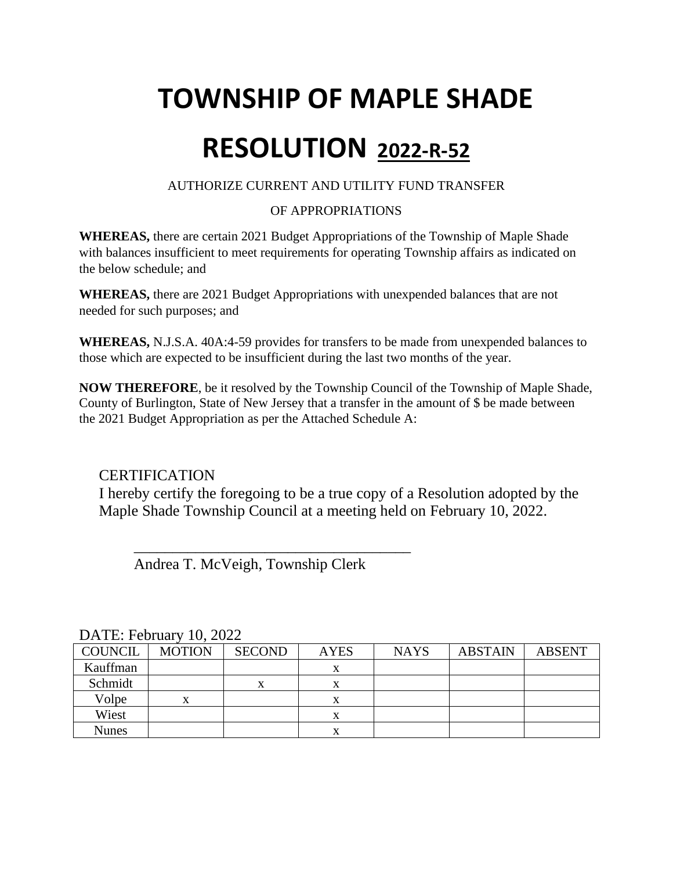# **TOWNSHIP OF MAPLE SHADE RESOLUTION 2022-R-52**

## AUTHORIZE CURRENT AND UTILITY FUND TRANSFER

## OF APPROPRIATIONS

**WHEREAS,** there are certain 2021 Budget Appropriations of the Township of Maple Shade with balances insufficient to meet requirements for operating Township affairs as indicated on the below schedule; and

**WHEREAS,** there are 2021 Budget Appropriations with unexpended balances that are not needed for such purposes; and

**WHEREAS,** N.J.S.A. 40A:4-59 provides for transfers to be made from unexpended balances to those which are expected to be insufficient during the last two months of the year.

**NOW THEREFORE**, be it resolved by the Township Council of the Township of Maple Shade, County of Burlington, State of New Jersey that a transfer in the amount of \$ be made between the 2021 Budget Appropriation as per the Attached Schedule A:

## **CERTIFICATION**

I hereby certify the foregoing to be a true copy of a Resolution adopted by the Maple Shade Township Council at a meeting held on February 10, 2022.

Andrea T. McVeigh, Township Clerk

 $\frac{1}{\sqrt{2}}$  ,  $\frac{1}{\sqrt{2}}$  ,  $\frac{1}{\sqrt{2}}$  ,  $\frac{1}{\sqrt{2}}$  ,  $\frac{1}{\sqrt{2}}$  ,  $\frac{1}{\sqrt{2}}$  ,  $\frac{1}{\sqrt{2}}$  ,  $\frac{1}{\sqrt{2}}$  ,  $\frac{1}{\sqrt{2}}$  ,  $\frac{1}{\sqrt{2}}$  ,  $\frac{1}{\sqrt{2}}$  ,  $\frac{1}{\sqrt{2}}$  ,  $\frac{1}{\sqrt{2}}$  ,  $\frac{1}{\sqrt{2}}$  ,  $\frac{1}{\sqrt{2}}$ 

| DATE, FUITUALY TV, $\angle 022$ |               |               |             |             |                |               |
|---------------------------------|---------------|---------------|-------------|-------------|----------------|---------------|
| COUNCIL                         | <b>MOTION</b> | <b>SECOND</b> | <b>AYES</b> | <b>NAYS</b> | <b>ABSTAIN</b> | <b>ABSENT</b> |
| Kauffman                        |               |               |             |             |                |               |
| Schmidt                         |               |               | x           |             |                |               |
| Volpe                           | x             |               | x           |             |                |               |
| Wiest                           |               |               | x           |             |                |               |
| <b>Nunes</b>                    |               |               | л           |             |                |               |

DATE: February 10, 2022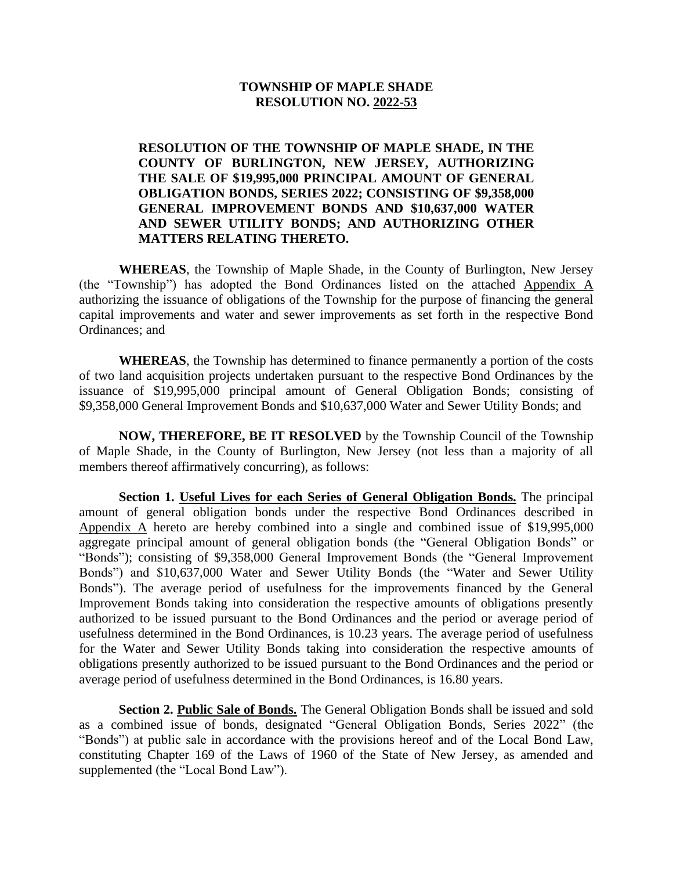#### **TOWNSHIP OF MAPLE SHADE RESOLUTION NO. 2022-53**

**RESOLUTION OF THE TOWNSHIP OF MAPLE SHADE, IN THE COUNTY OF BURLINGTON, NEW JERSEY, AUTHORIZING THE SALE OF \$19,995,000 PRINCIPAL AMOUNT OF GENERAL OBLIGATION BONDS, SERIES 2022; CONSISTING OF \$9,358,000 GENERAL IMPROVEMENT BONDS AND \$10,637,000 WATER AND SEWER UTILITY BONDS; AND AUTHORIZING OTHER MATTERS RELATING THERETO.**

**WHEREAS**, the Township of Maple Shade, in the County of Burlington, New Jersey (the "Township") has adopted the Bond Ordinances listed on the attached Appendix A authorizing the issuance of obligations of the Township for the purpose of financing the general capital improvements and water and sewer improvements as set forth in the respective Bond Ordinances; and

**WHEREAS**, the Township has determined to finance permanently a portion of the costs of two land acquisition projects undertaken pursuant to the respective Bond Ordinances by the issuance of \$19,995,000 principal amount of General Obligation Bonds; consisting of \$9,358,000 General Improvement Bonds and \$10,637,000 Water and Sewer Utility Bonds; and

**NOW, THEREFORE, BE IT RESOLVED** by the Township Council of the Township of Maple Shade, in the County of Burlington, New Jersey (not less than a majority of all members thereof affirmatively concurring), as follows:

**Section 1. Useful Lives for each Series of General Obligation Bonds.** The principal amount of general obligation bonds under the respective Bond Ordinances described in Appendix A hereto are hereby combined into a single and combined issue of \$19,995,000 aggregate principal amount of general obligation bonds (the "General Obligation Bonds" or "Bonds"); consisting of \$9,358,000 General Improvement Bonds (the "General Improvement Bonds") and \$10,637,000 Water and Sewer Utility Bonds (the "Water and Sewer Utility Bonds"). The average period of usefulness for the improvements financed by the General Improvement Bonds taking into consideration the respective amounts of obligations presently authorized to be issued pursuant to the Bond Ordinances and the period or average period of usefulness determined in the Bond Ordinances, is 10.23 years. The average period of usefulness for the Water and Sewer Utility Bonds taking into consideration the respective amounts of obligations presently authorized to be issued pursuant to the Bond Ordinances and the period or average period of usefulness determined in the Bond Ordinances, is 16.80 years.

**Section 2. Public Sale of Bonds.** The General Obligation Bonds shall be issued and sold as a combined issue of bonds, designated "General Obligation Bonds, Series 2022" (the "Bonds") at public sale in accordance with the provisions hereof and of the Local Bond Law, constituting Chapter 169 of the Laws of 1960 of the State of New Jersey, as amended and supplemented (the "Local Bond Law").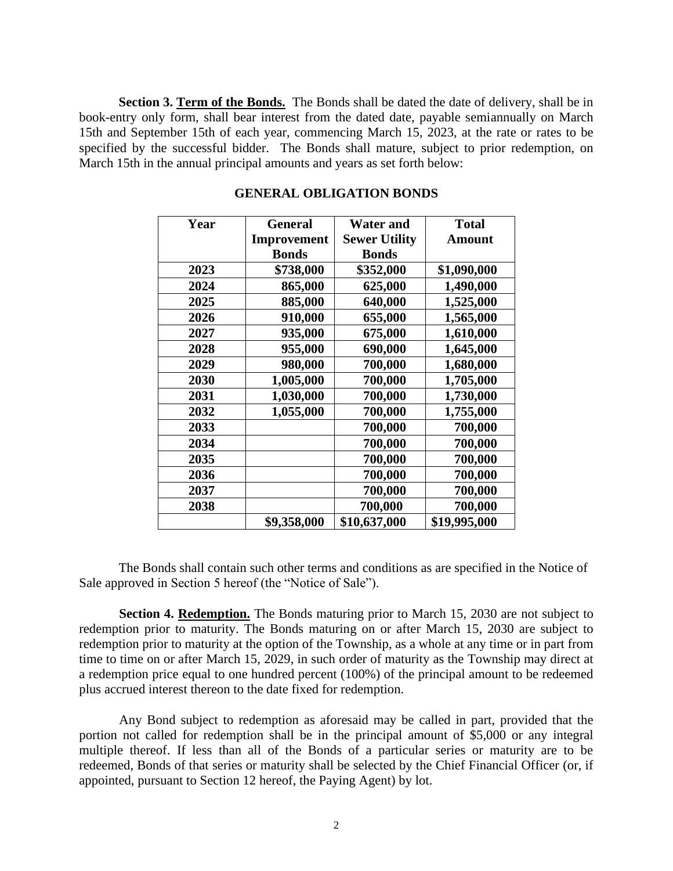Section 3. Term of the Bonds. The Bonds shall be dated the date of delivery, shall be in book-entry only form, shall bear interest from the dated date, payable semiannually on March 15th and September 15th of each year, commencing March 15, 2023, at the rate or rates to be specified by the successful bidder. The Bonds shall mature, subject to prior redemption, on March 15th in the annual principal amounts and years as set forth below:

| Year | <b>General</b> | <b>Water and</b>     | <b>Total</b>  |
|------|----------------|----------------------|---------------|
|      | Improvement    | <b>Sewer Utility</b> | <b>Amount</b> |
|      | <b>Bonds</b>   | <b>Bonds</b>         |               |
| 2023 | \$738,000      | \$352,000            | \$1,090,000   |
| 2024 | 865,000        | 625,000              | 1,490,000     |
| 2025 | 885,000        | 640,000              | 1,525,000     |
| 2026 | 910,000        | 655,000              | 1,565,000     |
| 2027 | 935,000        | 675,000              | 1,610,000     |
| 2028 | 955,000        | 690,000              | 1,645,000     |
| 2029 | 980,000        | 700,000              | 1,680,000     |
| 2030 | 1,005,000      | 700,000              | 1,705,000     |
| 2031 | 1,030,000      | 700,000              | 1,730,000     |
| 2032 | 1,055,000      | 700,000              | 1,755,000     |
| 2033 |                | 700,000              | 700,000       |
| 2034 |                | 700,000              | 700,000       |
| 2035 |                | 700,000              | 700,000       |
| 2036 |                | 700,000              | 700,000       |
| 2037 |                | 700,000              | 700,000       |
| 2038 |                | 700,000              | 700,000       |
|      | \$9,358,000    | \$10,637,000         | \$19,995,000  |

#### **GENERAL OBLIGATION BONDS**

The Bonds shall contain such other terms and conditions as are specified in the Notice of Sale approved in Section 5 hereof (the "Notice of Sale").

**Section 4. Redemption.** The Bonds maturing prior to March 15, 2030 are not subject to redemption prior to maturity. The Bonds maturing on or after March 15, 2030 are subject to redemption prior to maturity at the option of the Township, as a whole at any time or in part from time to time on or after March 15, 2029, in such order of maturity as the Township may direct at a redemption price equal to one hundred percent (100%) of the principal amount to be redeemed plus accrued interest thereon to the date fixed for redemption.

Any Bond subject to redemption as aforesaid may be called in part, provided that the portion not called for redemption shall be in the principal amount of \$5,000 or any integral multiple thereof. If less than all of the Bonds of a particular series or maturity are to be redeemed, Bonds of that series or maturity shall be selected by the Chief Financial Officer (or, if appointed, pursuant to Section 12 hereof, the Paying Agent) by lot.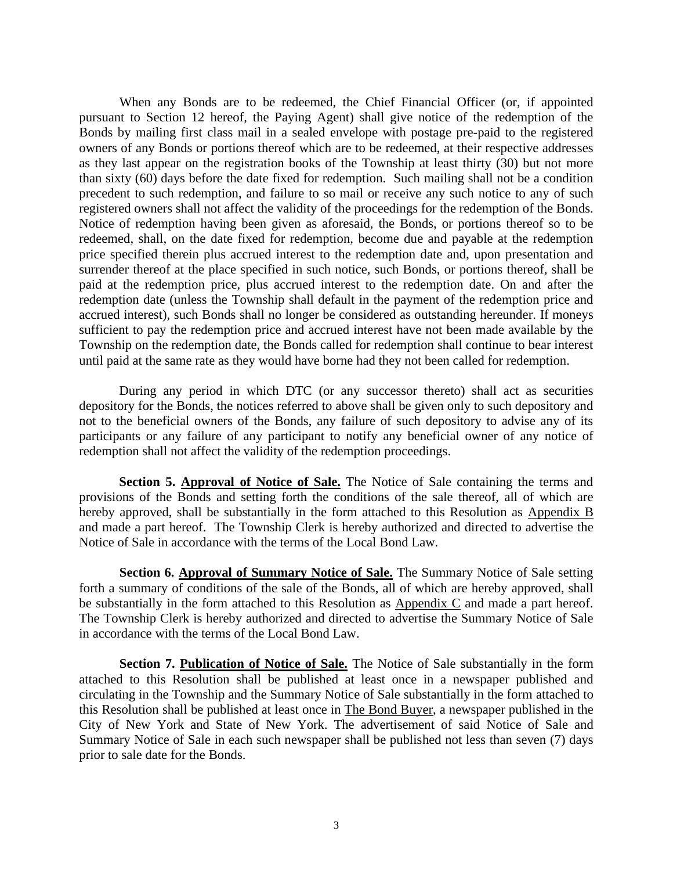When any Bonds are to be redeemed, the Chief Financial Officer (or, if appointed pursuant to Section 12 hereof, the Paying Agent) shall give notice of the redemption of the Bonds by mailing first class mail in a sealed envelope with postage pre-paid to the registered owners of any Bonds or portions thereof which are to be redeemed, at their respective addresses as they last appear on the registration books of the Township at least thirty (30) but not more than sixty (60) days before the date fixed for redemption. Such mailing shall not be a condition precedent to such redemption, and failure to so mail or receive any such notice to any of such registered owners shall not affect the validity of the proceedings for the redemption of the Bonds. Notice of redemption having been given as aforesaid, the Bonds, or portions thereof so to be redeemed, shall, on the date fixed for redemption, become due and payable at the redemption price specified therein plus accrued interest to the redemption date and, upon presentation and surrender thereof at the place specified in such notice, such Bonds, or portions thereof, shall be paid at the redemption price, plus accrued interest to the redemption date. On and after the redemption date (unless the Township shall default in the payment of the redemption price and accrued interest), such Bonds shall no longer be considered as outstanding hereunder. If moneys sufficient to pay the redemption price and accrued interest have not been made available by the Township on the redemption date, the Bonds called for redemption shall continue to bear interest until paid at the same rate as they would have borne had they not been called for redemption.

During any period in which DTC (or any successor thereto) shall act as securities depository for the Bonds, the notices referred to above shall be given only to such depository and not to the beneficial owners of the Bonds, any failure of such depository to advise any of its participants or any failure of any participant to notify any beneficial owner of any notice of redemption shall not affect the validity of the redemption proceedings.

**Section 5. Approval of Notice of Sale.** The Notice of Sale containing the terms and provisions of the Bonds and setting forth the conditions of the sale thereof, all of which are hereby approved, shall be substantially in the form attached to this Resolution as Appendix B and made a part hereof. The Township Clerk is hereby authorized and directed to advertise the Notice of Sale in accordance with the terms of the Local Bond Law.

**Section 6. Approval of Summary Notice of Sale.** The Summary Notice of Sale setting forth a summary of conditions of the sale of the Bonds, all of which are hereby approved, shall be substantially in the form attached to this Resolution as Appendix C and made a part hereof. The Township Clerk is hereby authorized and directed to advertise the Summary Notice of Sale in accordance with the terms of the Local Bond Law.

**Section 7. Publication of Notice of Sale.** The Notice of Sale substantially in the form attached to this Resolution shall be published at least once in a newspaper published and circulating in the Township and the Summary Notice of Sale substantially in the form attached to this Resolution shall be published at least once in The Bond Buyer, a newspaper published in the City of New York and State of New York. The advertisement of said Notice of Sale and Summary Notice of Sale in each such newspaper shall be published not less than seven (7) days prior to sale date for the Bonds.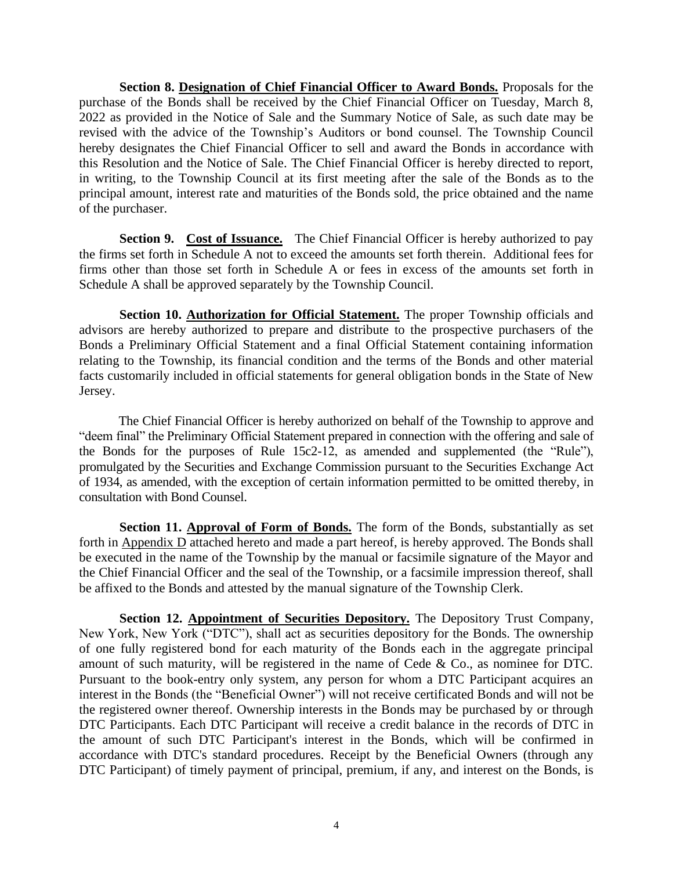**Section 8. Designation of Chief Financial Officer to Award Bonds.** Proposals for the purchase of the Bonds shall be received by the Chief Financial Officer on Tuesday, March 8, 2022 as provided in the Notice of Sale and the Summary Notice of Sale, as such date may be revised with the advice of the Township's Auditors or bond counsel. The Township Council hereby designates the Chief Financial Officer to sell and award the Bonds in accordance with this Resolution and the Notice of Sale. The Chief Financial Officer is hereby directed to report, in writing, to the Township Council at its first meeting after the sale of the Bonds as to the principal amount, interest rate and maturities of the Bonds sold, the price obtained and the name of the purchaser.

**Section 9. Cost of Issuance.** The Chief Financial Officer is hereby authorized to pay the firms set forth in Schedule A not to exceed the amounts set forth therein. Additional fees for firms other than those set forth in Schedule A or fees in excess of the amounts set forth in Schedule A shall be approved separately by the Township Council.

**Section 10. Authorization for Official Statement.** The proper Township officials and advisors are hereby authorized to prepare and distribute to the prospective purchasers of the Bonds a Preliminary Official Statement and a final Official Statement containing information relating to the Township, its financial condition and the terms of the Bonds and other material facts customarily included in official statements for general obligation bonds in the State of New Jersey.

The Chief Financial Officer is hereby authorized on behalf of the Township to approve and "deem final" the Preliminary Official Statement prepared in connection with the offering and sale of the Bonds for the purposes of Rule 15c2-12, as amended and supplemented (the "Rule"), promulgated by the Securities and Exchange Commission pursuant to the Securities Exchange Act of 1934, as amended, with the exception of certain information permitted to be omitted thereby, in consultation with Bond Counsel.

**Section 11. Approval of Form of Bonds.** The form of the Bonds, substantially as set forth in Appendix D attached hereto and made a part hereof, is hereby approved. The Bonds shall be executed in the name of the Township by the manual or facsimile signature of the Mayor and the Chief Financial Officer and the seal of the Township, or a facsimile impression thereof, shall be affixed to the Bonds and attested by the manual signature of the Township Clerk.

**Section 12. Appointment of Securities Depository.** The Depository Trust Company, New York, New York ("DTC"), shall act as securities depository for the Bonds. The ownership of one fully registered bond for each maturity of the Bonds each in the aggregate principal amount of such maturity, will be registered in the name of Cede & Co., as nominee for DTC. Pursuant to the book-entry only system, any person for whom a DTC Participant acquires an interest in the Bonds (the "Beneficial Owner") will not receive certificated Bonds and will not be the registered owner thereof. Ownership interests in the Bonds may be purchased by or through DTC Participants. Each DTC Participant will receive a credit balance in the records of DTC in the amount of such DTC Participant's interest in the Bonds, which will be confirmed in accordance with DTC's standard procedures. Receipt by the Beneficial Owners (through any DTC Participant) of timely payment of principal, premium, if any, and interest on the Bonds, is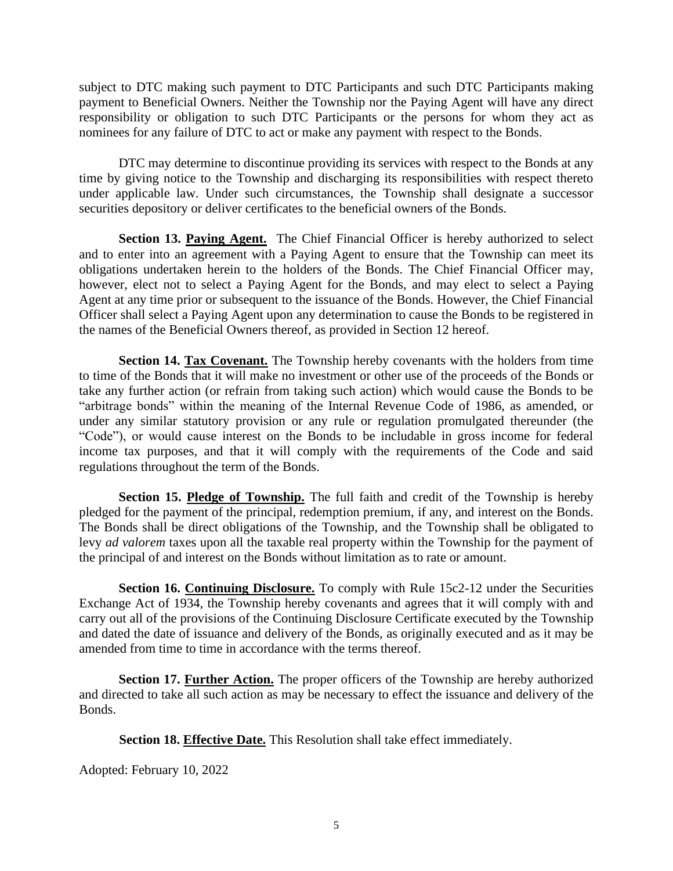subject to DTC making such payment to DTC Participants and such DTC Participants making payment to Beneficial Owners. Neither the Township nor the Paying Agent will have any direct responsibility or obligation to such DTC Participants or the persons for whom they act as nominees for any failure of DTC to act or make any payment with respect to the Bonds.

DTC may determine to discontinue providing its services with respect to the Bonds at any time by giving notice to the Township and discharging its responsibilities with respect thereto under applicable law. Under such circumstances, the Township shall designate a successor securities depository or deliver certificates to the beneficial owners of the Bonds.

Section 13. Paying Agent. The Chief Financial Officer is hereby authorized to select and to enter into an agreement with a Paying Agent to ensure that the Township can meet its obligations undertaken herein to the holders of the Bonds. The Chief Financial Officer may, however, elect not to select a Paying Agent for the Bonds, and may elect to select a Paying Agent at any time prior or subsequent to the issuance of the Bonds. However, the Chief Financial Officer shall select a Paying Agent upon any determination to cause the Bonds to be registered in the names of the Beneficial Owners thereof, as provided in Section 12 hereof.

Section 14. Tax Covenant. The Township hereby covenants with the holders from time to time of the Bonds that it will make no investment or other use of the proceeds of the Bonds or take any further action (or refrain from taking such action) which would cause the Bonds to be "arbitrage bonds" within the meaning of the Internal Revenue Code of 1986, as amended, or under any similar statutory provision or any rule or regulation promulgated thereunder (the "Code"), or would cause interest on the Bonds to be includable in gross income for federal income tax purposes, and that it will comply with the requirements of the Code and said regulations throughout the term of the Bonds.

**Section 15. Pledge of Township.** The full faith and credit of the Township is hereby pledged for the payment of the principal, redemption premium, if any, and interest on the Bonds. The Bonds shall be direct obligations of the Township, and the Township shall be obligated to levy *ad valorem* taxes upon all the taxable real property within the Township for the payment of the principal of and interest on the Bonds without limitation as to rate or amount.

**Section 16. Continuing Disclosure.** To comply with Rule 15c2-12 under the Securities Exchange Act of 1934, the Township hereby covenants and agrees that it will comply with and carry out all of the provisions of the Continuing Disclosure Certificate executed by the Township and dated the date of issuance and delivery of the Bonds, as originally executed and as it may be amended from time to time in accordance with the terms thereof.

**Section 17. Further Action.** The proper officers of the Township are hereby authorized and directed to take all such action as may be necessary to effect the issuance and delivery of the Bonds.

**Section 18. Effective Date.** This Resolution shall take effect immediately.

Adopted: February 10, 2022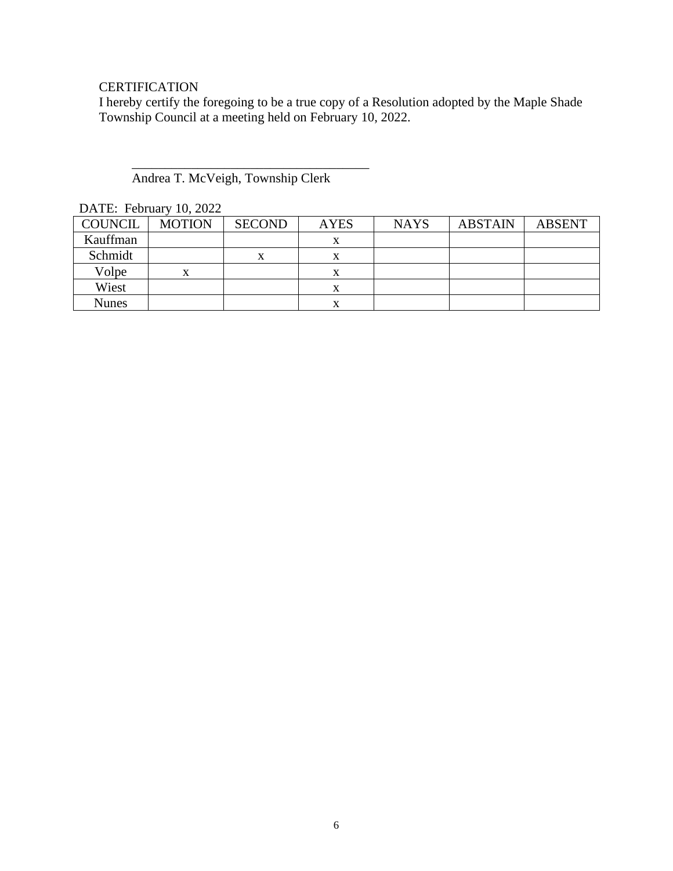## **CERTIFICATION**

I hereby certify the foregoing to be a true copy of a Resolution adopted by the Maple Shade Township Council at a meeting held on February 10, 2022.

#### Andrea T. McVeigh, Township Clerk

 $\overline{\phantom{a}}$  , which is the set of the set of the set of the set of the set of the set of the set of the set of the set of the set of the set of the set of the set of the set of the set of the set of the set of the set of

| DATE. FORMALY TV, $2022$ |               |               |             |             |                |               |
|--------------------------|---------------|---------------|-------------|-------------|----------------|---------------|
| <b>COUNCIL</b>           | <b>MOTION</b> | <b>SECOND</b> | <b>AYES</b> | <b>NAYS</b> | <b>ABSTAIN</b> | <b>ABSENT</b> |
| Kauffman                 |               |               | л           |             |                |               |
| Schmidt                  |               | $\lambda$     | л           |             |                |               |
| Volpe                    | x             |               | х           |             |                |               |
| Wiest                    |               |               | $\Lambda$   |             |                |               |
| <b>Nunes</b>             |               |               |             |             |                |               |

DATE: February 10, 2022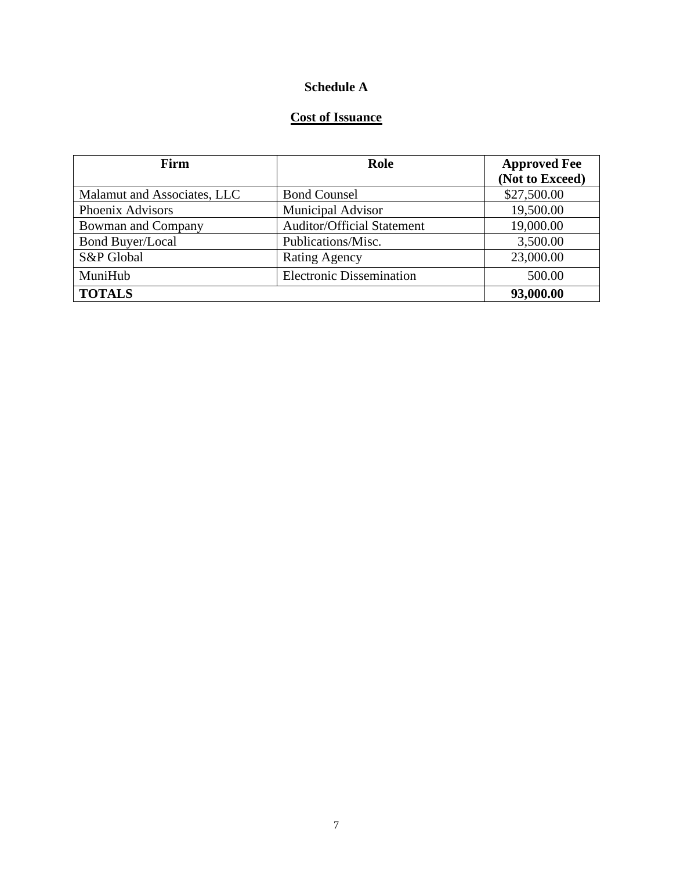## **Schedule A**

## **Cost of Issuance**

| Firm                        | Role                              | <b>Approved Fee</b> |
|-----------------------------|-----------------------------------|---------------------|
|                             |                                   | (Not to Exceed)     |
| Malamut and Associates, LLC | <b>Bond Counsel</b>               | \$27,500.00         |
| Phoenix Advisors            | <b>Municipal Advisor</b>          | 19,500.00           |
| Bowman and Company          | <b>Auditor/Official Statement</b> | 19,000.00           |
| <b>Bond Buyer/Local</b>     | Publications/Misc.                | 3,500.00            |
| S&P Global                  | <b>Rating Agency</b>              | 23,000.00           |
| MuniHub                     | <b>Electronic Dissemination</b>   | 500.00              |
| <b>TOTALS</b>               |                                   | 93,000.00           |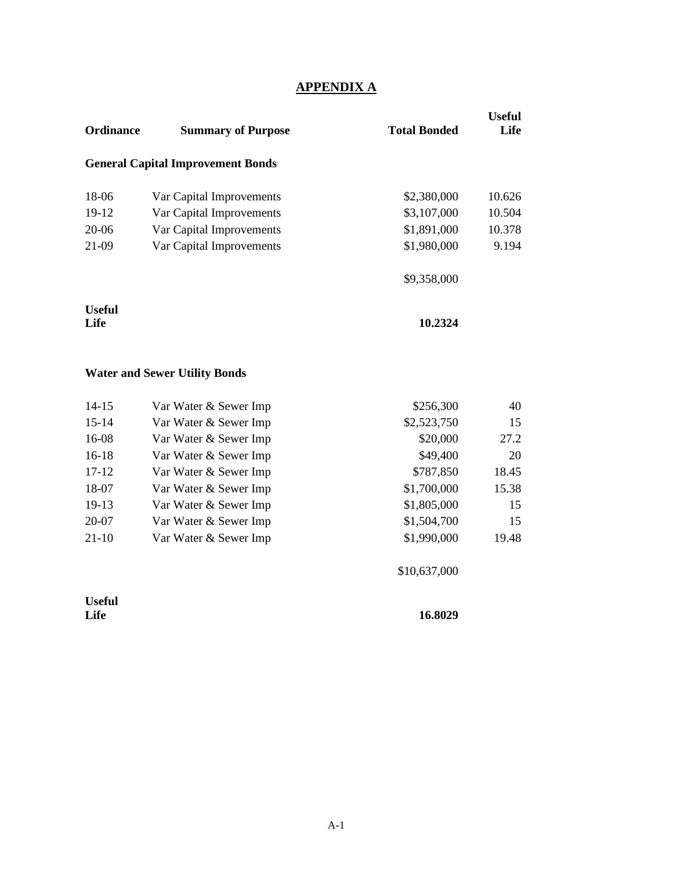## **APPENDIX A**

| <b>Ordinance</b>      | <b>Summary of Purpose</b>                | <b>Total Bonded</b> | <b>Useful</b><br>Life |
|-----------------------|------------------------------------------|---------------------|-----------------------|
|                       | <b>General Capital Improvement Bonds</b> |                     |                       |
| 18-06                 | Var Capital Improvements                 | \$2,380,000         | 10.626                |
| 19-12                 | Var Capital Improvements                 | \$3,107,000         | 10.504                |
| $20 - 06$             | Var Capital Improvements                 | \$1,891,000         | 10.378                |
| 21-09                 | Var Capital Improvements                 | \$1,980,000         | 9.194                 |
|                       |                                          | \$9,358,000         |                       |
| <b>Useful</b><br>Life |                                          | 10.2324             |                       |
|                       | <b>Water and Sewer Utility Bonds</b>     |                     |                       |
| $14 - 15$             | Var Water & Sewer Imp                    | \$256,300           | 40                    |
| $15 - 14$             | Var Water & Sewer Imp                    | \$2,523,750         | 15                    |
| 16-08                 | Var Water & Sewer Imp                    | \$20,000            | 27.2                  |
| $16-18$               | Var Water & Sewer Imp                    | \$49,400            | 20                    |
| $17 - 12$             | Var Water & Sewer Imp                    | \$787,850           | 18.45                 |
| 18-07                 | Var Water & Sewer Imp                    | \$1,700,000         | 15.38                 |
| 19-13                 | Var Water & Sewer Imp                    | \$1,805,000         | 15                    |

20-07 Var Water & Sewer Imp \$1,504,700 15 21-10 Var Water & Sewer Imp \$1,990,000 19.48

**Useful** 

\$10,637,000

**Life 16.8029**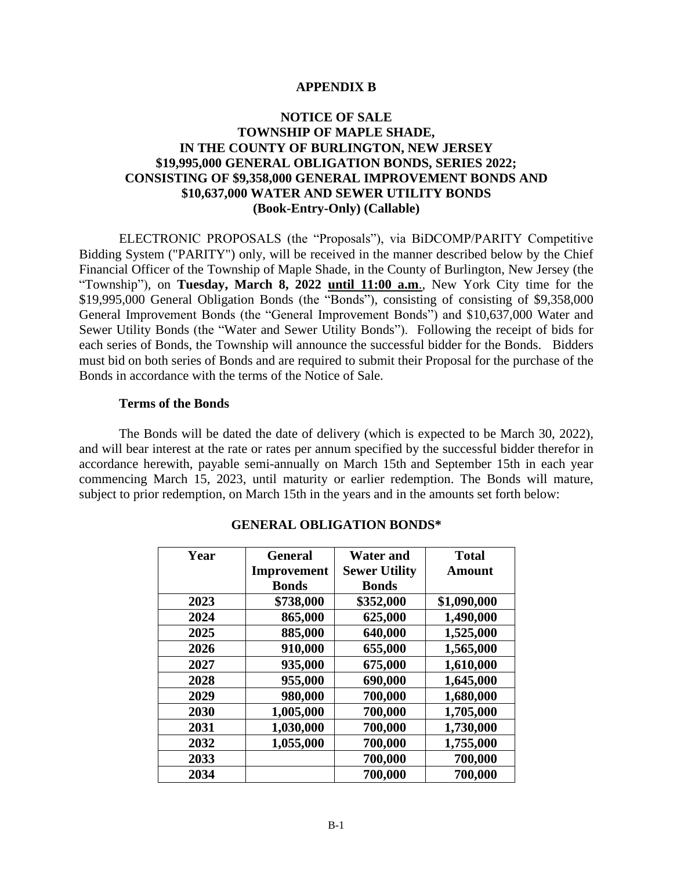#### **APPENDIX B**

#### **NOTICE OF SALE TOWNSHIP OF MAPLE SHADE, IN THE COUNTY OF BURLINGTON, NEW JERSEY \$19,995,000 GENERAL OBLIGATION BONDS, SERIES 2022; CONSISTING OF \$9,358,000 GENERAL IMPROVEMENT BONDS AND \$10,637,000 WATER AND SEWER UTILITY BONDS (Book-Entry-Only) (Callable)**

ELECTRONIC PROPOSALS (the "Proposals"), via BiDCOMP/PARITY Competitive Bidding System ("PARITY") only, will be received in the manner described below by the Chief Financial Officer of the Township of Maple Shade, in the County of Burlington, New Jersey (the "Township"), on **Tuesday, March 8, 2022 until 11:00 a.m**., New York City time for the \$19,995,000 General Obligation Bonds (the "Bonds"), consisting of consisting of \$9,358,000 General Improvement Bonds (the "General Improvement Bonds") and \$10,637,000 Water and Sewer Utility Bonds (the "Water and Sewer Utility Bonds"). Following the receipt of bids for each series of Bonds, the Township will announce the successful bidder for the Bonds. Bidders must bid on both series of Bonds and are required to submit their Proposal for the purchase of the Bonds in accordance with the terms of the Notice of Sale.

#### **Terms of the Bonds**

The Bonds will be dated the date of delivery (which is expected to be March 30, 2022), and will bear interest at the rate or rates per annum specified by the successful bidder therefor in accordance herewith, payable semi-annually on March 15th and September 15th in each year commencing March 15, 2023, until maturity or earlier redemption. The Bonds will mature, subject to prior redemption, on March 15th in the years and in the amounts set forth below:

| Year | <b>General</b>     | <b>Water and</b>     | <b>Total</b> |
|------|--------------------|----------------------|--------------|
|      | <b>Improvement</b> | <b>Sewer Utility</b> | Amount       |
|      | <b>Bonds</b>       | <b>Bonds</b>         |              |
| 2023 | \$738,000          | \$352,000            | \$1,090,000  |
| 2024 | 865,000            | 625,000              | 1,490,000    |
| 2025 | 885,000            | 640,000              | 1,525,000    |
| 2026 | 910,000            | 655,000              | 1,565,000    |
| 2027 | 935,000            | 675,000              | 1,610,000    |
| 2028 | 955,000            | 690,000              | 1,645,000    |
| 2029 | 980,000            | 700,000              | 1,680,000    |
| 2030 | 1,005,000          | 700,000              | 1,705,000    |
| 2031 | 1,030,000          | 700,000              | 1,730,000    |
| 2032 | 1,055,000          | 700,000              | 1,755,000    |
| 2033 |                    | 700,000              | 700,000      |
| 2034 |                    | 700,000              | 700,000      |

#### **GENERAL OBLIGATION BONDS\***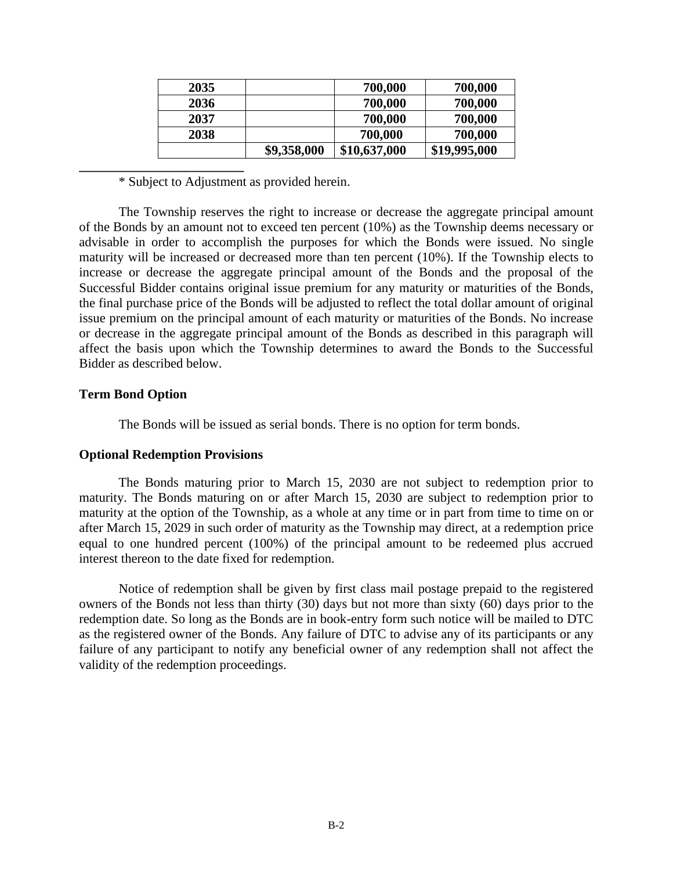| 2035 |             | 700,000      | 700,000      |
|------|-------------|--------------|--------------|
| 2036 |             | 700,000      | 700,000      |
| 2037 |             | 700,000      | 700,000      |
| 2038 |             | 700,000      | 700,000      |
|      | \$9,358,000 | \$10,637,000 | \$19,995,000 |

\* Subject to Adjustment as provided herein.

The Township reserves the right to increase or decrease the aggregate principal amount of the Bonds by an amount not to exceed ten percent (10%) as the Township deems necessary or advisable in order to accomplish the purposes for which the Bonds were issued. No single maturity will be increased or decreased more than ten percent (10%). If the Township elects to increase or decrease the aggregate principal amount of the Bonds and the proposal of the Successful Bidder contains original issue premium for any maturity or maturities of the Bonds, the final purchase price of the Bonds will be adjusted to reflect the total dollar amount of original issue premium on the principal amount of each maturity or maturities of the Bonds. No increase or decrease in the aggregate principal amount of the Bonds as described in this paragraph will affect the basis upon which the Township determines to award the Bonds to the Successful Bidder as described below.

#### **Term Bond Option**

The Bonds will be issued as serial bonds. There is no option for term bonds.

#### **Optional Redemption Provisions**

**\_\_\_\_\_\_\_\_\_\_\_\_\_\_\_\_\_\_\_\_\_\_\_\_\_**

The Bonds maturing prior to March 15, 2030 are not subject to redemption prior to maturity. The Bonds maturing on or after March 15, 2030 are subject to redemption prior to maturity at the option of the Township, as a whole at any time or in part from time to time on or after March 15, 2029 in such order of maturity as the Township may direct, at a redemption price equal to one hundred percent (100%) of the principal amount to be redeemed plus accrued interest thereon to the date fixed for redemption.

Notice of redemption shall be given by first class mail postage prepaid to the registered owners of the Bonds not less than thirty (30) days but not more than sixty (60) days prior to the redemption date. So long as the Bonds are in book-entry form such notice will be mailed to DTC as the registered owner of the Bonds. Any failure of DTC to advise any of its participants or any failure of any participant to notify any beneficial owner of any redemption shall not affect the validity of the redemption proceedings.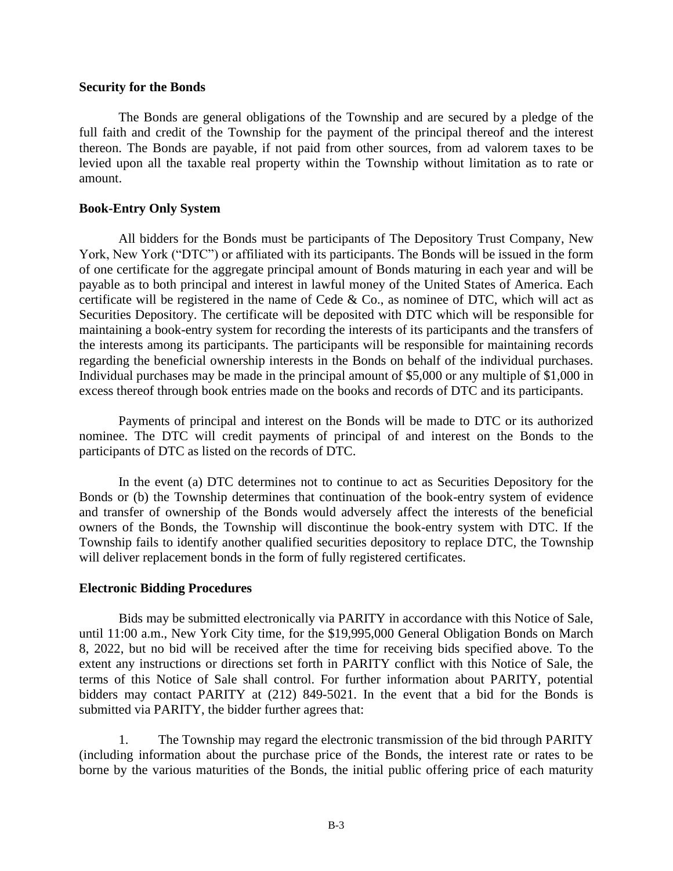#### **Security for the Bonds**

The Bonds are general obligations of the Township and are secured by a pledge of the full faith and credit of the Township for the payment of the principal thereof and the interest thereon. The Bonds are payable, if not paid from other sources, from ad valorem taxes to be levied upon all the taxable real property within the Township without limitation as to rate or amount.

#### **Book-Entry Only System**

All bidders for the Bonds must be participants of The Depository Trust Company, New York, New York ("DTC") or affiliated with its participants. The Bonds will be issued in the form of one certificate for the aggregate principal amount of Bonds maturing in each year and will be payable as to both principal and interest in lawful money of the United States of America. Each certificate will be registered in the name of Cede  $\&$  Co., as nominee of DTC, which will act as Securities Depository. The certificate will be deposited with DTC which will be responsible for maintaining a book-entry system for recording the interests of its participants and the transfers of the interests among its participants. The participants will be responsible for maintaining records regarding the beneficial ownership interests in the Bonds on behalf of the individual purchases. Individual purchases may be made in the principal amount of \$5,000 or any multiple of \$1,000 in excess thereof through book entries made on the books and records of DTC and its participants.

Payments of principal and interest on the Bonds will be made to DTC or its authorized nominee. The DTC will credit payments of principal of and interest on the Bonds to the participants of DTC as listed on the records of DTC.

In the event (a) DTC determines not to continue to act as Securities Depository for the Bonds or (b) the Township determines that continuation of the book-entry system of evidence and transfer of ownership of the Bonds would adversely affect the interests of the beneficial owners of the Bonds, the Township will discontinue the book-entry system with DTC. If the Township fails to identify another qualified securities depository to replace DTC, the Township will deliver replacement bonds in the form of fully registered certificates.

#### **Electronic Bidding Procedures**

Bids may be submitted electronically via PARITY in accordance with this Notice of Sale, until 11:00 a.m., New York City time, for the \$19,995,000 General Obligation Bonds on March 8, 2022, but no bid will be received after the time for receiving bids specified above. To the extent any instructions or directions set forth in PARITY conflict with this Notice of Sale, the terms of this Notice of Sale shall control. For further information about PARITY, potential bidders may contact PARITY at (212) 849-5021. In the event that a bid for the Bonds is submitted via PARITY, the bidder further agrees that:

1. The Township may regard the electronic transmission of the bid through PARITY (including information about the purchase price of the Bonds, the interest rate or rates to be borne by the various maturities of the Bonds, the initial public offering price of each maturity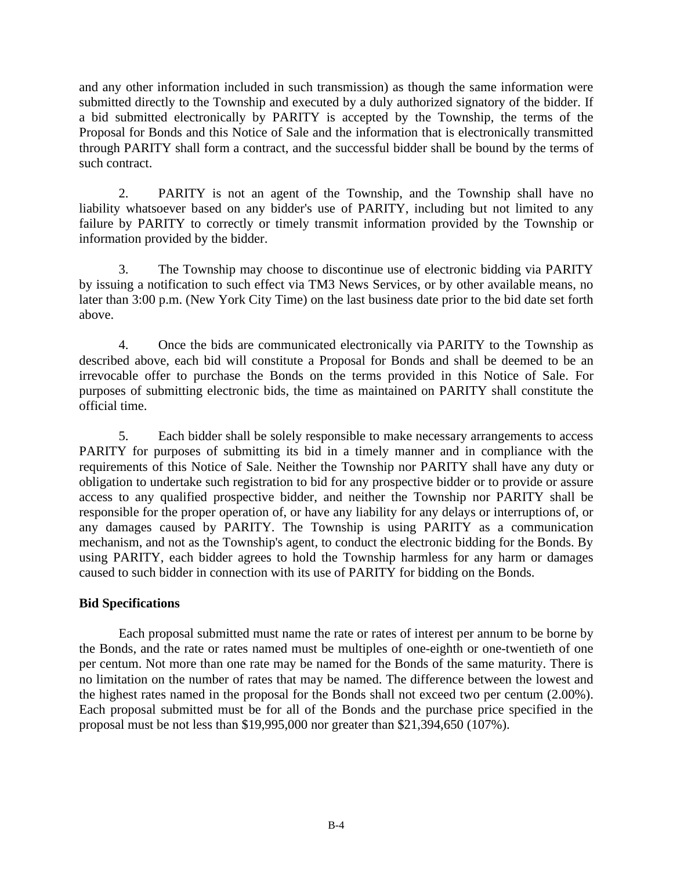and any other information included in such transmission) as though the same information were submitted directly to the Township and executed by a duly authorized signatory of the bidder. If a bid submitted electronically by PARITY is accepted by the Township, the terms of the Proposal for Bonds and this Notice of Sale and the information that is electronically transmitted through PARITY shall form a contract, and the successful bidder shall be bound by the terms of such contract.

2. PARITY is not an agent of the Township, and the Township shall have no liability whatsoever based on any bidder's use of PARITY, including but not limited to any failure by PARITY to correctly or timely transmit information provided by the Township or information provided by the bidder.

3. The Township may choose to discontinue use of electronic bidding via PARITY by issuing a notification to such effect via TM3 News Services, or by other available means, no later than 3:00 p.m. (New York City Time) on the last business date prior to the bid date set forth above.

4. Once the bids are communicated electronically via PARITY to the Township as described above, each bid will constitute a Proposal for Bonds and shall be deemed to be an irrevocable offer to purchase the Bonds on the terms provided in this Notice of Sale. For purposes of submitting electronic bids, the time as maintained on PARITY shall constitute the official time.

5. Each bidder shall be solely responsible to make necessary arrangements to access PARITY for purposes of submitting its bid in a timely manner and in compliance with the requirements of this Notice of Sale. Neither the Township nor PARITY shall have any duty or obligation to undertake such registration to bid for any prospective bidder or to provide or assure access to any qualified prospective bidder, and neither the Township nor PARITY shall be responsible for the proper operation of, or have any liability for any delays or interruptions of, or any damages caused by PARITY. The Township is using PARITY as a communication mechanism, and not as the Township's agent, to conduct the electronic bidding for the Bonds. By using PARITY, each bidder agrees to hold the Township harmless for any harm or damages caused to such bidder in connection with its use of PARITY for bidding on the Bonds.

### **Bid Specifications**

Each proposal submitted must name the rate or rates of interest per annum to be borne by the Bonds, and the rate or rates named must be multiples of one-eighth or one-twentieth of one per centum. Not more than one rate may be named for the Bonds of the same maturity. There is no limitation on the number of rates that may be named. The difference between the lowest and the highest rates named in the proposal for the Bonds shall not exceed two per centum (2.00%). Each proposal submitted must be for all of the Bonds and the purchase price specified in the proposal must be not less than \$19,995,000 nor greater than \$21,394,650 (107%).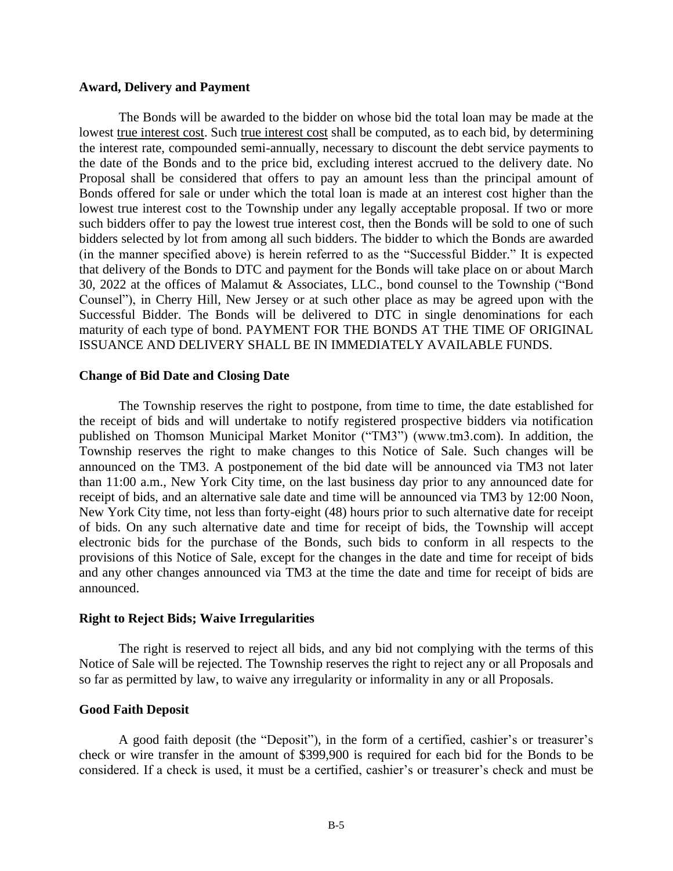#### **Award, Delivery and Payment**

The Bonds will be awarded to the bidder on whose bid the total loan may be made at the lowest true interest cost. Such true interest cost shall be computed, as to each bid, by determining the interest rate, compounded semi-annually, necessary to discount the debt service payments to the date of the Bonds and to the price bid, excluding interest accrued to the delivery date. No Proposal shall be considered that offers to pay an amount less than the principal amount of Bonds offered for sale or under which the total loan is made at an interest cost higher than the lowest true interest cost to the Township under any legally acceptable proposal. If two or more such bidders offer to pay the lowest true interest cost, then the Bonds will be sold to one of such bidders selected by lot from among all such bidders. The bidder to which the Bonds are awarded (in the manner specified above) is herein referred to as the "Successful Bidder." It is expected that delivery of the Bonds to DTC and payment for the Bonds will take place on or about March 30, 2022 at the offices of Malamut & Associates, LLC., bond counsel to the Township ("Bond Counsel"), in Cherry Hill, New Jersey or at such other place as may be agreed upon with the Successful Bidder. The Bonds will be delivered to DTC in single denominations for each maturity of each type of bond. PAYMENT FOR THE BONDS AT THE TIME OF ORIGINAL ISSUANCE AND DELIVERY SHALL BE IN IMMEDIATELY AVAILABLE FUNDS.

#### **Change of Bid Date and Closing Date**

The Township reserves the right to postpone, from time to time, the date established for the receipt of bids and will undertake to notify registered prospective bidders via notification published on Thomson Municipal Market Monitor ("TM3") (www.tm3.com). In addition, the Township reserves the right to make changes to this Notice of Sale. Such changes will be announced on the TM3. A postponement of the bid date will be announced via TM3 not later than 11:00 a.m., New York City time, on the last business day prior to any announced date for receipt of bids, and an alternative sale date and time will be announced via TM3 by 12:00 Noon, New York City time, not less than forty-eight (48) hours prior to such alternative date for receipt of bids. On any such alternative date and time for receipt of bids, the Township will accept electronic bids for the purchase of the Bonds, such bids to conform in all respects to the provisions of this Notice of Sale, except for the changes in the date and time for receipt of bids and any other changes announced via TM3 at the time the date and time for receipt of bids are announced.

#### **Right to Reject Bids; Waive Irregularities**

The right is reserved to reject all bids, and any bid not complying with the terms of this Notice of Sale will be rejected. The Township reserves the right to reject any or all Proposals and so far as permitted by law, to waive any irregularity or informality in any or all Proposals.

#### **Good Faith Deposit**

A good faith deposit (the "Deposit"), in the form of a certified, cashier's or treasurer's check or wire transfer in the amount of \$399,900 is required for each bid for the Bonds to be considered. If a check is used, it must be a certified, cashier's or treasurer's check and must be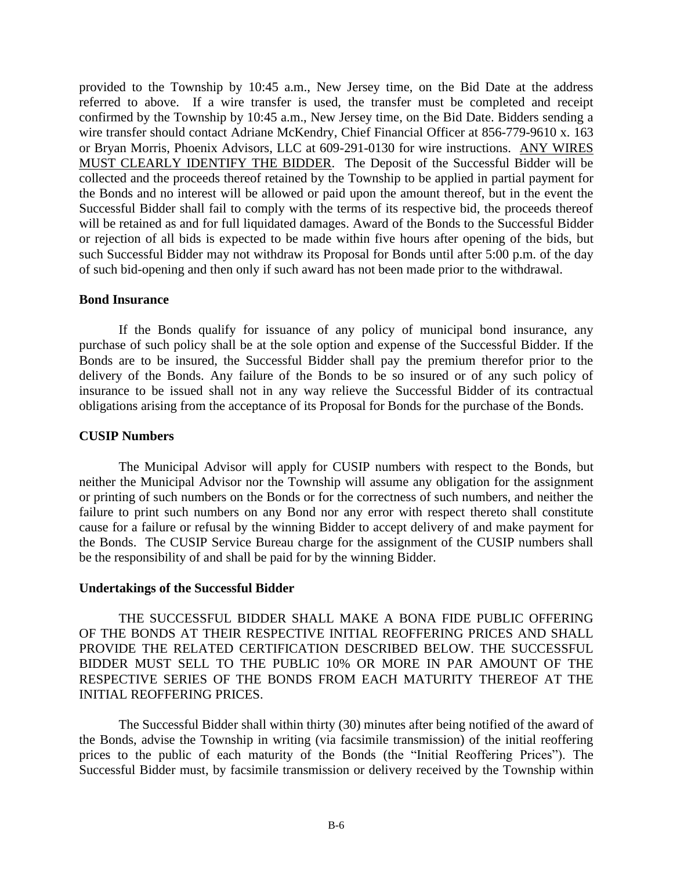provided to the Township by 10:45 a.m., New Jersey time, on the Bid Date at the address referred to above. If a wire transfer is used, the transfer must be completed and receipt confirmed by the Township by 10:45 a.m., New Jersey time, on the Bid Date. Bidders sending a wire transfer should contact Adriane McKendry, Chief Financial Officer at 856-779-9610 x. 163 or Bryan Morris, Phoenix Advisors, LLC at 609-291-0130 for wire instructions. ANY WIRES MUST CLEARLY IDENTIFY THE BIDDER. The Deposit of the Successful Bidder will be collected and the proceeds thereof retained by the Township to be applied in partial payment for the Bonds and no interest will be allowed or paid upon the amount thereof, but in the event the Successful Bidder shall fail to comply with the terms of its respective bid, the proceeds thereof will be retained as and for full liquidated damages. Award of the Bonds to the Successful Bidder or rejection of all bids is expected to be made within five hours after opening of the bids, but such Successful Bidder may not withdraw its Proposal for Bonds until after 5:00 p.m. of the day of such bid-opening and then only if such award has not been made prior to the withdrawal.

#### **Bond Insurance**

If the Bonds qualify for issuance of any policy of municipal bond insurance, any purchase of such policy shall be at the sole option and expense of the Successful Bidder. If the Bonds are to be insured, the Successful Bidder shall pay the premium therefor prior to the delivery of the Bonds. Any failure of the Bonds to be so insured or of any such policy of insurance to be issued shall not in any way relieve the Successful Bidder of its contractual obligations arising from the acceptance of its Proposal for Bonds for the purchase of the Bonds.

#### **CUSIP Numbers**

The Municipal Advisor will apply for CUSIP numbers with respect to the Bonds, but neither the Municipal Advisor nor the Township will assume any obligation for the assignment or printing of such numbers on the Bonds or for the correctness of such numbers, and neither the failure to print such numbers on any Bond nor any error with respect thereto shall constitute cause for a failure or refusal by the winning Bidder to accept delivery of and make payment for the Bonds. The CUSIP Service Bureau charge for the assignment of the CUSIP numbers shall be the responsibility of and shall be paid for by the winning Bidder.

#### **Undertakings of the Successful Bidder**

THE SUCCESSFUL BIDDER SHALL MAKE A BONA FIDE PUBLIC OFFERING OF THE BONDS AT THEIR RESPECTIVE INITIAL REOFFERING PRICES AND SHALL PROVIDE THE RELATED CERTIFICATION DESCRIBED BELOW. THE SUCCESSFUL BIDDER MUST SELL TO THE PUBLIC 10% OR MORE IN PAR AMOUNT OF THE RESPECTIVE SERIES OF THE BONDS FROM EACH MATURITY THEREOF AT THE INITIAL REOFFERING PRICES.

The Successful Bidder shall within thirty (30) minutes after being notified of the award of the Bonds, advise the Township in writing (via facsimile transmission) of the initial reoffering prices to the public of each maturity of the Bonds (the "Initial Reoffering Prices"). The Successful Bidder must, by facsimile transmission or delivery received by the Township within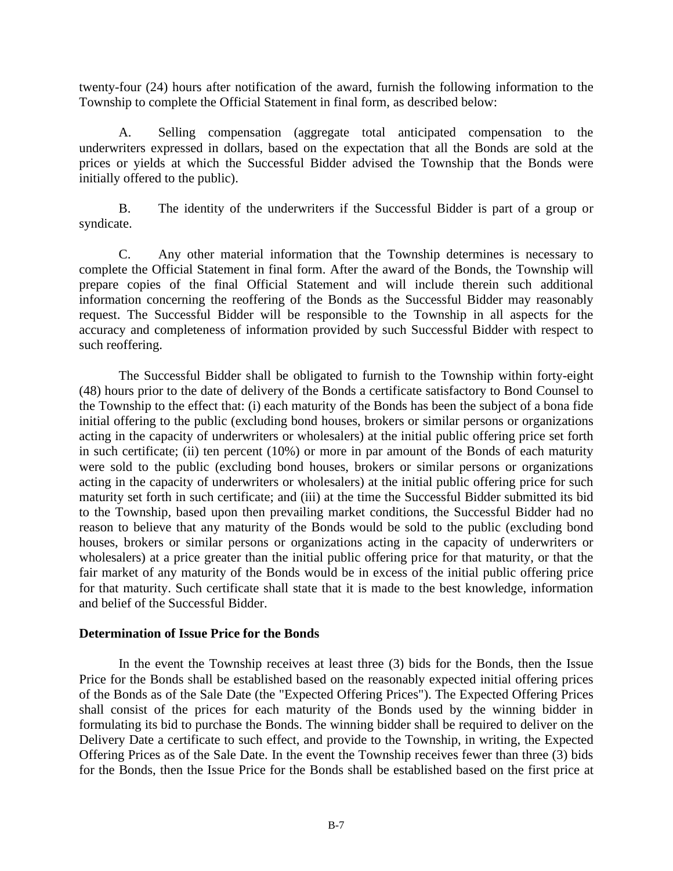twenty-four (24) hours after notification of the award, furnish the following information to the Township to complete the Official Statement in final form, as described below:

A. Selling compensation (aggregate total anticipated compensation to the underwriters expressed in dollars, based on the expectation that all the Bonds are sold at the prices or yields at which the Successful Bidder advised the Township that the Bonds were initially offered to the public).

B. The identity of the underwriters if the Successful Bidder is part of a group or syndicate.

C. Any other material information that the Township determines is necessary to complete the Official Statement in final form. After the award of the Bonds, the Township will prepare copies of the final Official Statement and will include therein such additional information concerning the reoffering of the Bonds as the Successful Bidder may reasonably request. The Successful Bidder will be responsible to the Township in all aspects for the accuracy and completeness of information provided by such Successful Bidder with respect to such reoffering.

The Successful Bidder shall be obligated to furnish to the Township within forty-eight (48) hours prior to the date of delivery of the Bonds a certificate satisfactory to Bond Counsel to the Township to the effect that: (i) each maturity of the Bonds has been the subject of a bona fide initial offering to the public (excluding bond houses, brokers or similar persons or organizations acting in the capacity of underwriters or wholesalers) at the initial public offering price set forth in such certificate; (ii) ten percent (10%) or more in par amount of the Bonds of each maturity were sold to the public (excluding bond houses, brokers or similar persons or organizations acting in the capacity of underwriters or wholesalers) at the initial public offering price for such maturity set forth in such certificate; and (iii) at the time the Successful Bidder submitted its bid to the Township, based upon then prevailing market conditions, the Successful Bidder had no reason to believe that any maturity of the Bonds would be sold to the public (excluding bond houses, brokers or similar persons or organizations acting in the capacity of underwriters or wholesalers) at a price greater than the initial public offering price for that maturity, or that the fair market of any maturity of the Bonds would be in excess of the initial public offering price for that maturity. Such certificate shall state that it is made to the best knowledge, information and belief of the Successful Bidder.

#### **Determination of Issue Price for the Bonds**

In the event the Township receives at least three (3) bids for the Bonds, then the Issue Price for the Bonds shall be established based on the reasonably expected initial offering prices of the Bonds as of the Sale Date (the "Expected Offering Prices"). The Expected Offering Prices shall consist of the prices for each maturity of the Bonds used by the winning bidder in formulating its bid to purchase the Bonds. The winning bidder shall be required to deliver on the Delivery Date a certificate to such effect, and provide to the Township, in writing, the Expected Offering Prices as of the Sale Date. In the event the Township receives fewer than three (3) bids for the Bonds, then the Issue Price for the Bonds shall be established based on the first price at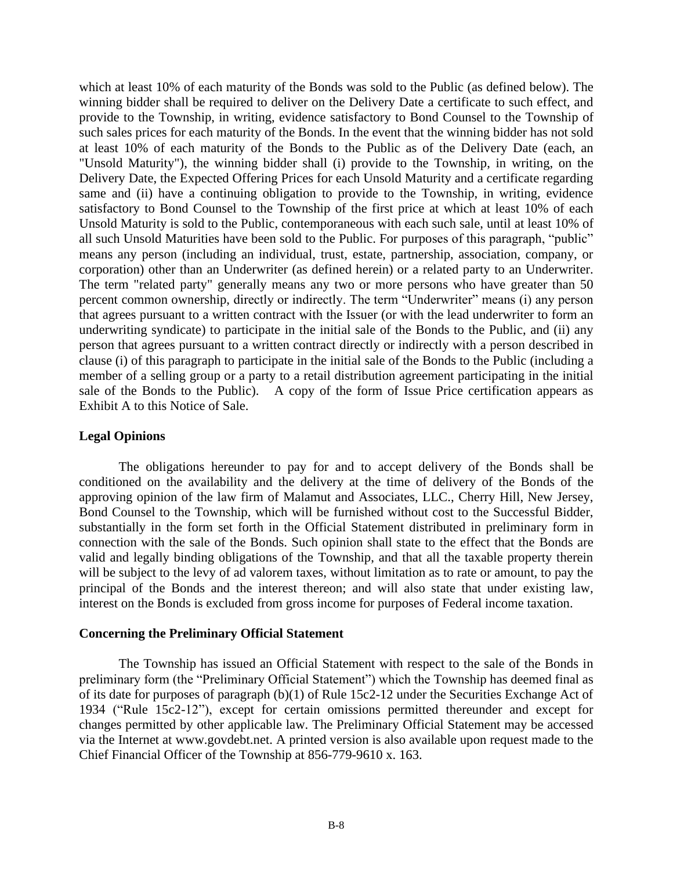which at least 10% of each maturity of the Bonds was sold to the Public (as defined below). The winning bidder shall be required to deliver on the Delivery Date a certificate to such effect, and provide to the Township, in writing, evidence satisfactory to Bond Counsel to the Township of such sales prices for each maturity of the Bonds. In the event that the winning bidder has not sold at least 10% of each maturity of the Bonds to the Public as of the Delivery Date (each, an "Unsold Maturity"), the winning bidder shall (i) provide to the Township, in writing, on the Delivery Date, the Expected Offering Prices for each Unsold Maturity and a certificate regarding same and (ii) have a continuing obligation to provide to the Township, in writing, evidence satisfactory to Bond Counsel to the Township of the first price at which at least 10% of each Unsold Maturity is sold to the Public, contemporaneous with each such sale, until at least 10% of all such Unsold Maturities have been sold to the Public. For purposes of this paragraph, "public" means any person (including an individual, trust, estate, partnership, association, company, or corporation) other than an Underwriter (as defined herein) or a related party to an Underwriter. The term "related party" generally means any two or more persons who have greater than 50 percent common ownership, directly or indirectly. The term "Underwriter" means (i) any person that agrees pursuant to a written contract with the Issuer (or with the lead underwriter to form an underwriting syndicate) to participate in the initial sale of the Bonds to the Public, and (ii) any person that agrees pursuant to a written contract directly or indirectly with a person described in clause (i) of this paragraph to participate in the initial sale of the Bonds to the Public (including a member of a selling group or a party to a retail distribution agreement participating in the initial sale of the Bonds to the Public). A copy of the form of Issue Price certification appears as Exhibit A to this Notice of Sale.

#### **Legal Opinions**

The obligations hereunder to pay for and to accept delivery of the Bonds shall be conditioned on the availability and the delivery at the time of delivery of the Bonds of the approving opinion of the law firm of Malamut and Associates, LLC., Cherry Hill, New Jersey, Bond Counsel to the Township, which will be furnished without cost to the Successful Bidder, substantially in the form set forth in the Official Statement distributed in preliminary form in connection with the sale of the Bonds. Such opinion shall state to the effect that the Bonds are valid and legally binding obligations of the Township, and that all the taxable property therein will be subject to the levy of ad valorem taxes, without limitation as to rate or amount, to pay the principal of the Bonds and the interest thereon; and will also state that under existing law, interest on the Bonds is excluded from gross income for purposes of Federal income taxation.

#### **Concerning the Preliminary Official Statement**

The Township has issued an Official Statement with respect to the sale of the Bonds in preliminary form (the "Preliminary Official Statement") which the Township has deemed final as of its date for purposes of paragraph (b)(1) of Rule 15c2-12 under the Securities Exchange Act of 1934 ("Rule 15c2-12"), except for certain omissions permitted thereunder and except for changes permitted by other applicable law. The Preliminary Official Statement may be accessed via the Internet at www.govdebt.net. A printed version is also available upon request made to the Chief Financial Officer of the Township at 856-779-9610 x. 163.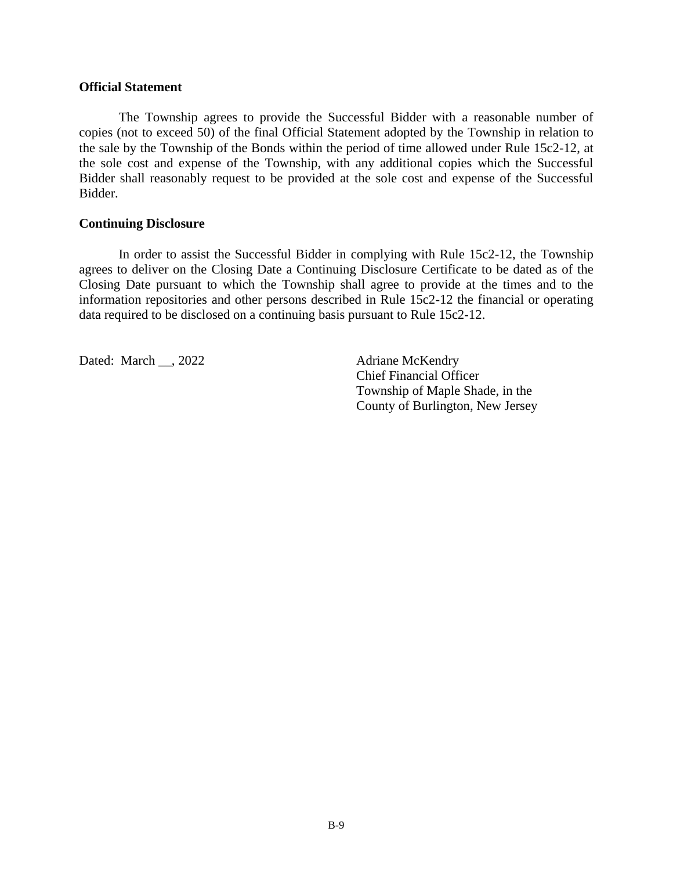#### **Official Statement**

The Township agrees to provide the Successful Bidder with a reasonable number of copies (not to exceed 50) of the final Official Statement adopted by the Township in relation to the sale by the Township of the Bonds within the period of time allowed under Rule 15c2-12, at the sole cost and expense of the Township, with any additional copies which the Successful Bidder shall reasonably request to be provided at the sole cost and expense of the Successful Bidder.

#### **Continuing Disclosure**

In order to assist the Successful Bidder in complying with Rule 15c2-12, the Township agrees to deliver on the Closing Date a Continuing Disclosure Certificate to be dated as of the Closing Date pursuant to which the Township shall agree to provide at the times and to the information repositories and other persons described in Rule 15c2-12 the financial or operating data required to be disclosed on a continuing basis pursuant to Rule 15c2-12.

Dated: March \_\_, 2022 Adriane McKendry

Chief Financial Officer Township of Maple Shade, in the County of Burlington, New Jersey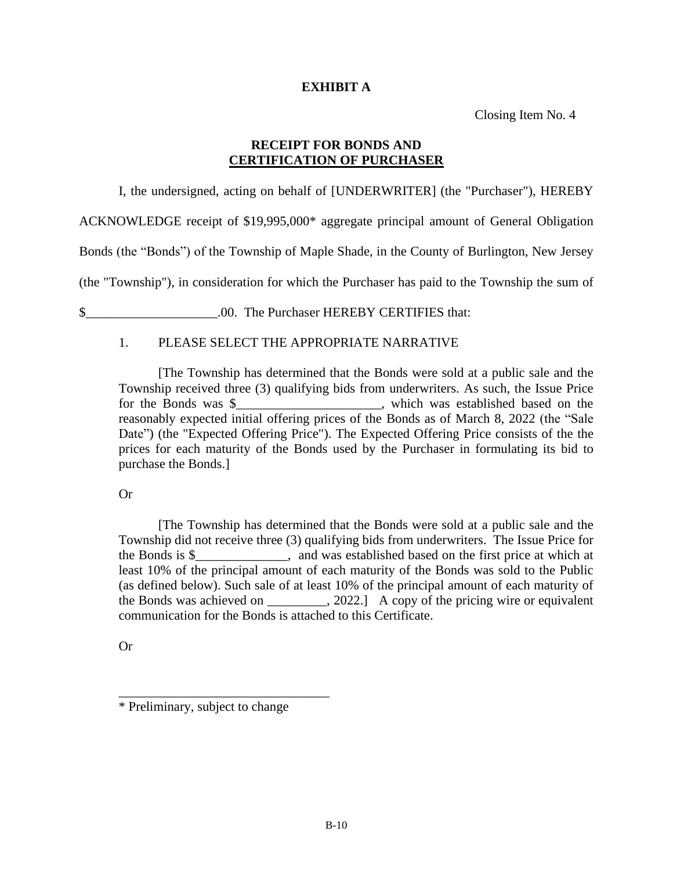#### **EXHIBIT A**

Closing Item No. 4

#### **RECEIPT FOR BONDS AND CERTIFICATION OF PURCHASER**

I, the undersigned, acting on behalf of [UNDERWRITER] (the "Purchaser"), HEREBY

ACKNOWLEDGE receipt of \$19,995,000\* aggregate principal amount of General Obligation

Bonds (the "Bonds") of the Township of Maple Shade, in the County of Burlington, New Jersey

(the "Township"), in consideration for which the Purchaser has paid to the Township the sum of

\$ .00. The Purchaser HEREBY CERTIFIES that:

#### 1. PLEASE SELECT THE APPROPRIATE NARRATIVE

[The Township has determined that the Bonds were sold at a public sale and the Township received three (3) qualifying bids from underwriters. As such, the Issue Price for the Bonds was \$\_\_\_\_\_\_\_\_\_\_\_\_\_\_\_\_\_\_\_\_\_\_, which was established based on the reasonably expected initial offering prices of the Bonds as of March 8, 2022 (the "Sale Date") (the "Expected Offering Price"). The Expected Offering Price consists of the the prices for each maturity of the Bonds used by the Purchaser in formulating its bid to purchase the Bonds.]

#### Or

[The Township has determined that the Bonds were sold at a public sale and the Township did not receive three (3) qualifying bids from underwriters. The Issue Price for the Bonds is \$\_\_\_\_\_\_\_\_\_\_\_\_\_\_, and was established based on the first price at which at least 10% of the principal amount of each maturity of the Bonds was sold to the Public (as defined below). Such sale of at least 10% of the principal amount of each maturity of the Bonds was achieved on \_\_\_\_\_\_\_\_, 2022.] A copy of the pricing wire or equivalent communication for the Bonds is attached to this Certificate.

Or

\_\_\_\_\_\_\_\_\_\_\_\_\_\_\_\_\_\_\_\_\_\_\_\_\_\_\_\_\_\_\_\_

<sup>\*</sup> Preliminary, subject to change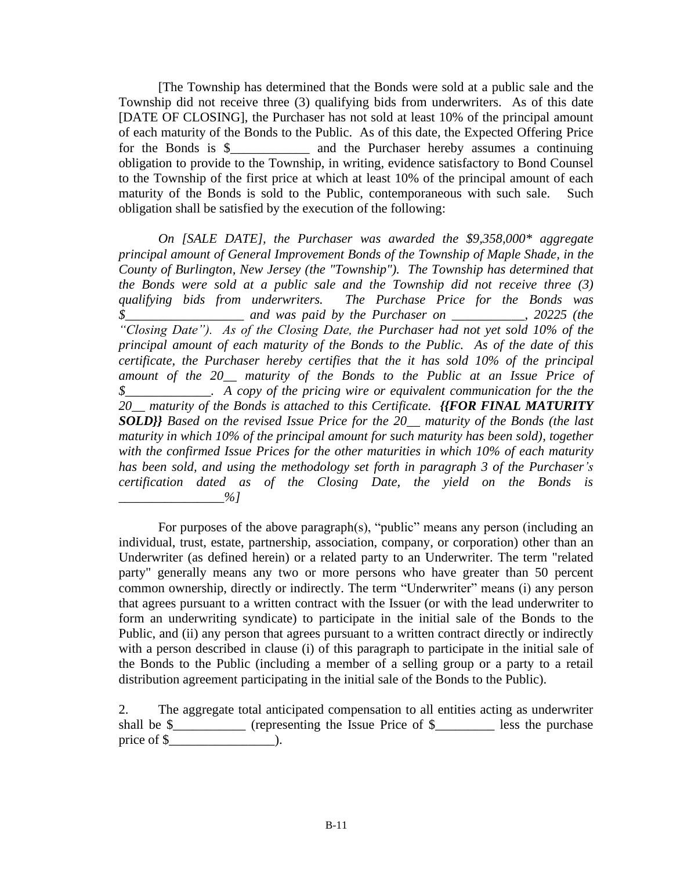[The Township has determined that the Bonds were sold at a public sale and the Township did not receive three (3) qualifying bids from underwriters. As of this date [DATE OF CLOSING], the Purchaser has not sold at least 10% of the principal amount of each maturity of the Bonds to the Public. As of this date, the Expected Offering Price for the Bonds is \$\_\_\_\_\_\_\_\_\_\_\_\_ and the Purchaser hereby assumes a continuing obligation to provide to the Township, in writing, evidence satisfactory to Bond Counsel to the Township of the first price at which at least 10% of the principal amount of each maturity of the Bonds is sold to the Public, contemporaneous with such sale. Such obligation shall be satisfied by the execution of the following:

*On [SALE DATE], the Purchaser was awarded the \$9,358,000\* aggregate principal amount of General Improvement Bonds of the Township of Maple Shade, in the County of Burlington, New Jersey (the "Township"). The Township has determined that the Bonds were sold at a public sale and the Township did not receive three (3) qualifying bids from underwriters. The Purchase Price for the Bonds was \$\_\_\_\_\_\_\_\_\_\_\_\_\_\_\_\_\_\_ and was paid by the Purchaser on \_\_\_\_\_\_\_\_\_\_\_, 20225 (the "Closing Date"). As of the Closing Date, the Purchaser had not yet sold 10% of the principal amount of each maturity of the Bonds to the Public. As of the date of this certificate, the Purchaser hereby certifies that the it has sold 10% of the principal amount of the 20\_\_ maturity of the Bonds to the Public at an Issue Price of \$\_\_\_\_\_\_\_\_\_\_\_\_\_. A copy of the pricing wire or equivalent communication for the the 20\_\_ maturity of the Bonds is attached to this Certificate. {{FOR FINAL MATURITY SOLD}} Based on the revised Issue Price for the 20\_\_ maturity of the Bonds (the last maturity in which 10% of the principal amount for such maturity has been sold), together with the confirmed Issue Prices for the other maturities in which 10% of each maturity has been sold, and using the methodology set forth in paragraph 3 of the Purchaser's certification dated as of the Closing Date, the yield on the Bonds is \_\_\_\_\_\_\_\_\_\_\_\_\_\_\_\_%]*

For purposes of the above paragraph(s), "public" means any person (including an individual, trust, estate, partnership, association, company, or corporation) other than an Underwriter (as defined herein) or a related party to an Underwriter. The term "related party" generally means any two or more persons who have greater than 50 percent common ownership, directly or indirectly. The term "Underwriter" means (i) any person that agrees pursuant to a written contract with the Issuer (or with the lead underwriter to form an underwriting syndicate) to participate in the initial sale of the Bonds to the Public, and (ii) any person that agrees pursuant to a written contract directly or indirectly with a person described in clause (i) of this paragraph to participate in the initial sale of the Bonds to the Public (including a member of a selling group or a party to a retail distribution agreement participating in the initial sale of the Bonds to the Public).

2. The aggregate total anticipated compensation to all entities acting as underwriter shall be \$\_\_\_\_\_\_\_\_\_\_\_ (representing the Issue Price of \$\_\_\_\_\_\_\_\_\_\_ less the purchase price of  $\$$  ).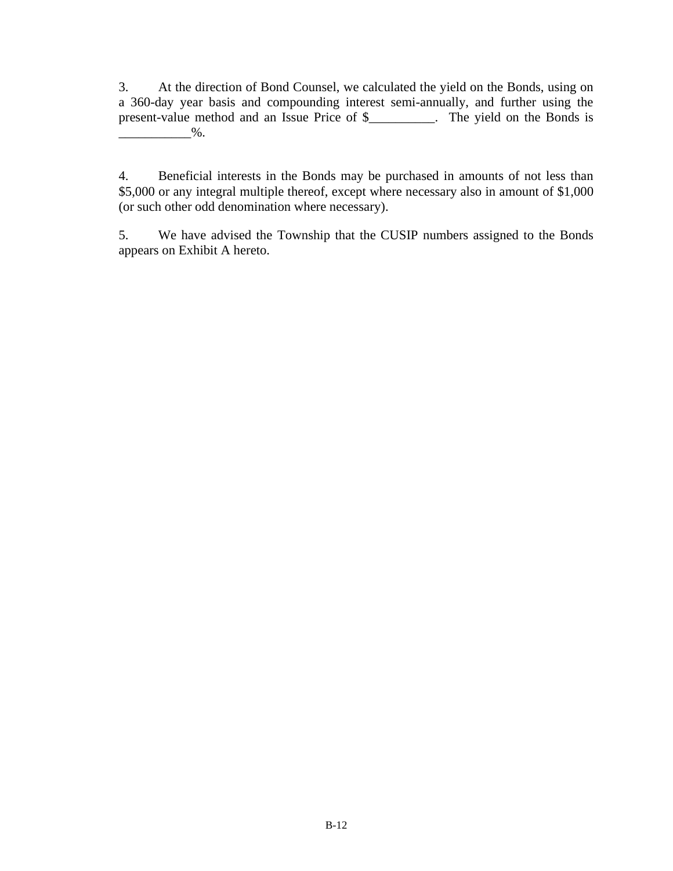3. At the direction of Bond Counsel, we calculated the yield on the Bonds, using on a 360-day year basis and compounding interest semi-annually, and further using the present-value method and an Issue Price of \$\_\_\_\_\_\_\_\_\_\_. The yield on the Bonds is  $\%$  .

4. Beneficial interests in the Bonds may be purchased in amounts of not less than \$5,000 or any integral multiple thereof, except where necessary also in amount of \$1,000 (or such other odd denomination where necessary).

5. We have advised the Township that the CUSIP numbers assigned to the Bonds appears on Exhibit A hereto.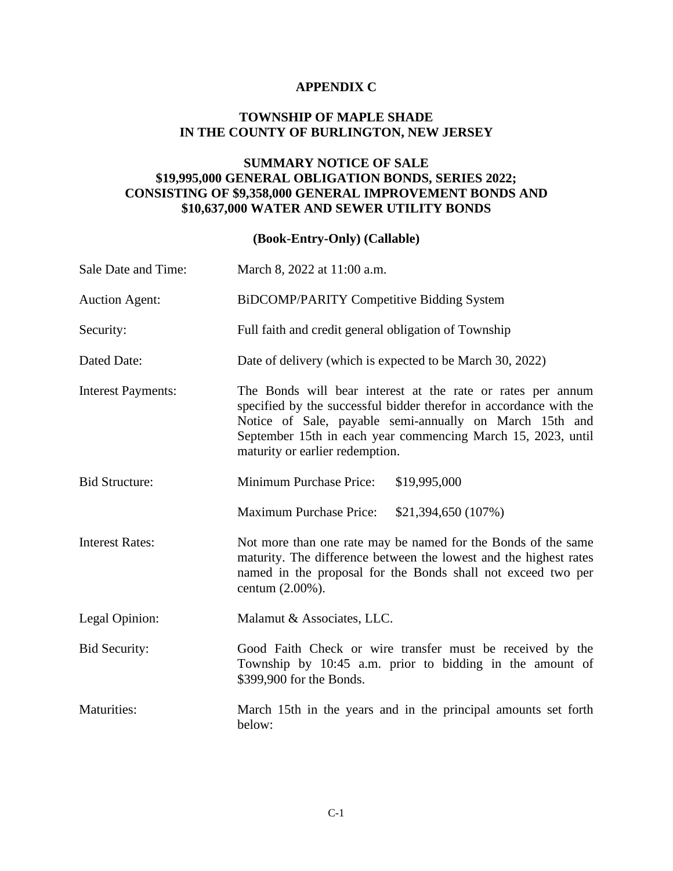#### **APPENDIX C**

#### **TOWNSHIP OF MAPLE SHADE IN THE COUNTY OF BURLINGTON, NEW JERSEY**

#### **SUMMARY NOTICE OF SALE \$19,995,000 GENERAL OBLIGATION BONDS, SERIES 2022; CONSISTING OF \$9,358,000 GENERAL IMPROVEMENT BONDS AND \$10,637,000 WATER AND SEWER UTILITY BONDS**

## **(Book-Entry-Only) (Callable)**

| Sale Date and Time:       | March 8, 2022 at 11:00 a.m.                                                                                                                                                                                                                                                                     |  |  |  |
|---------------------------|-------------------------------------------------------------------------------------------------------------------------------------------------------------------------------------------------------------------------------------------------------------------------------------------------|--|--|--|
| <b>Auction Agent:</b>     | <b>BiDCOMP/PARITY Competitive Bidding System</b>                                                                                                                                                                                                                                                |  |  |  |
| Security:                 | Full faith and credit general obligation of Township                                                                                                                                                                                                                                            |  |  |  |
| Dated Date:               | Date of delivery (which is expected to be March 30, 2022)                                                                                                                                                                                                                                       |  |  |  |
| <b>Interest Payments:</b> | The Bonds will bear interest at the rate or rates per annum<br>specified by the successful bidder therefor in accordance with the<br>Notice of Sale, payable semi-annually on March 15th and<br>September 15th in each year commencing March 15, 2023, until<br>maturity or earlier redemption. |  |  |  |
| <b>Bid Structure:</b>     | Minimum Purchase Price:<br>\$19,995,000                                                                                                                                                                                                                                                         |  |  |  |
|                           | <b>Maximum Purchase Price:</b><br>\$21,394,650 (107%)                                                                                                                                                                                                                                           |  |  |  |
| <b>Interest Rates:</b>    | Not more than one rate may be named for the Bonds of the same<br>maturity. The difference between the lowest and the highest rates<br>named in the proposal for the Bonds shall not exceed two per<br>centum $(2.00\%)$ .                                                                       |  |  |  |
| Legal Opinion:            | Malamut & Associates, LLC.                                                                                                                                                                                                                                                                      |  |  |  |
| <b>Bid Security:</b>      | Good Faith Check or wire transfer must be received by the<br>Township by 10:45 a.m. prior to bidding in the amount of<br>\$399,900 for the Bonds.                                                                                                                                               |  |  |  |
| Maturities:               | March 15th in the years and in the principal amounts set forth<br>below:                                                                                                                                                                                                                        |  |  |  |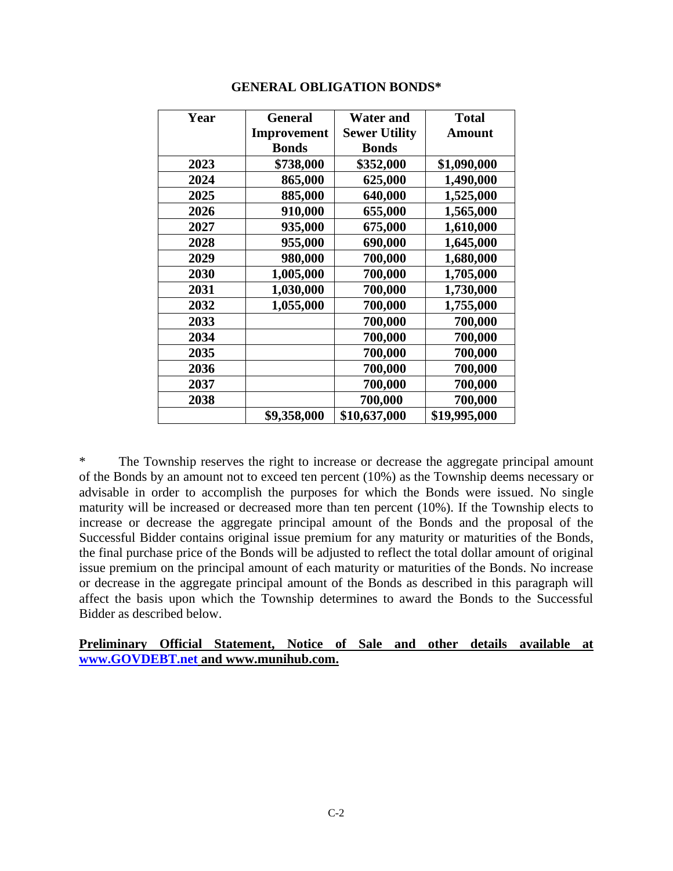| Year | General      | <b>Water and</b>     | <b>Total</b>  |
|------|--------------|----------------------|---------------|
|      | Improvement  | <b>Sewer Utility</b> | <b>Amount</b> |
|      | <b>Bonds</b> | <b>Bonds</b>         |               |
| 2023 | \$738,000    | \$352,000            | \$1,090,000   |
| 2024 | 865,000      | 625,000              | 1,490,000     |
| 2025 | 885,000      | 640,000              | 1,525,000     |
| 2026 | 910,000      | 655,000              | 1,565,000     |
| 2027 | 935,000      | 675,000              | 1,610,000     |
| 2028 | 955,000      | 690,000              | 1,645,000     |
| 2029 | 980,000      | 700,000              | 1,680,000     |
| 2030 | 1,005,000    | 700,000              | 1,705,000     |
| 2031 | 1,030,000    | 700,000              | 1,730,000     |
| 2032 | 1,055,000    | 700,000              | 1,755,000     |
| 2033 |              | 700,000              | 700,000       |
| 2034 |              | 700,000              | 700,000       |
| 2035 |              | 700,000              | 700,000       |
| 2036 |              | 700,000              | 700,000       |
| 2037 |              | 700,000              | 700,000       |
| 2038 |              | 700,000              | 700,000       |
|      | \$9,358,000  | \$10,637,000         | \$19,995,000  |

#### **GENERAL OBLIGATION BONDS\***

\* The Township reserves the right to increase or decrease the aggregate principal amount of the Bonds by an amount not to exceed ten percent (10%) as the Township deems necessary or advisable in order to accomplish the purposes for which the Bonds were issued. No single maturity will be increased or decreased more than ten percent (10%). If the Township elects to increase or decrease the aggregate principal amount of the Bonds and the proposal of the Successful Bidder contains original issue premium for any maturity or maturities of the Bonds, the final purchase price of the Bonds will be adjusted to reflect the total dollar amount of original issue premium on the principal amount of each maturity or maturities of the Bonds. No increase or decrease in the aggregate principal amount of the Bonds as described in this paragraph will affect the basis upon which the Township determines to award the Bonds to the Successful Bidder as described below.

#### **Preliminary Official Statement, Notice of Sale and other details available at [www.GOVDEBT.net](http://www.govdebt.net/) and www.munihub.com.**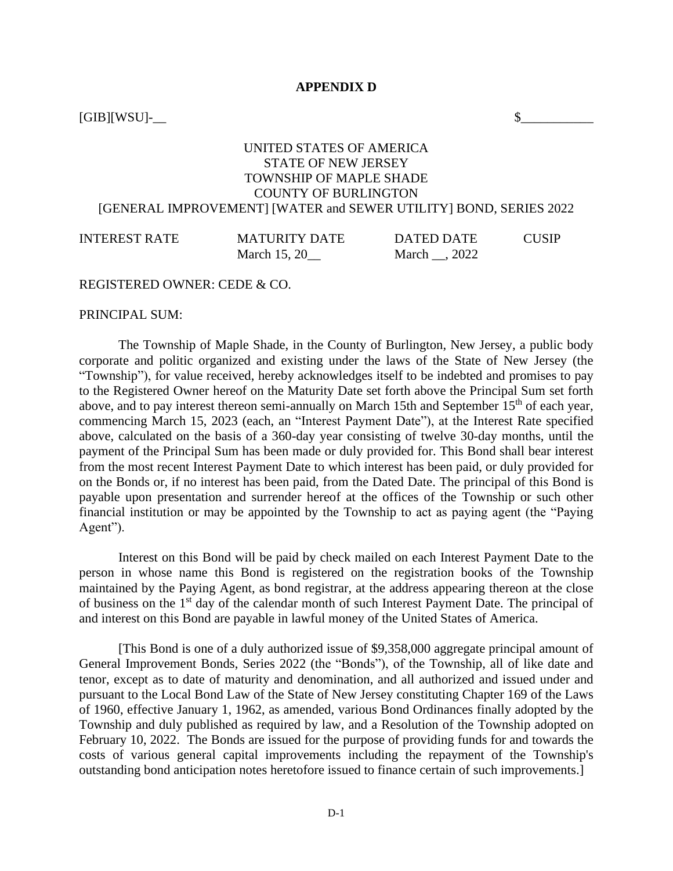#### **APPENDIX D**

 $[GB][WSU]$ -

#### UNITED STATES OF AMERICA STATE OF NEW JERSEY TOWNSHIP OF MAPLE SHADE COUNTY OF BURLINGTON [GENERAL IMPROVEMENT] [WATER and SEWER UTILITY] BOND, SERIES 2022

| <b>INTEREST RATE</b> | <b>MATURITY DATE</b> | DATED DATE   | <b>CUSIP</b> |
|----------------------|----------------------|--------------|--------------|
|                      | March 15, 20         | March . 2022 |              |

#### REGISTERED OWNER: CEDE & CO.

PRINCIPAL SUM:

The Township of Maple Shade, in the County of Burlington, New Jersey, a public body corporate and politic organized and existing under the laws of the State of New Jersey (the "Township"), for value received, hereby acknowledges itself to be indebted and promises to pay to the Registered Owner hereof on the Maturity Date set forth above the Principal Sum set forth above, and to pay interest thereon semi-annually on March 15th and September 15<sup>th</sup> of each year, commencing March 15, 2023 (each, an "Interest Payment Date"), at the Interest Rate specified above, calculated on the basis of a 360-day year consisting of twelve 30-day months, until the payment of the Principal Sum has been made or duly provided for. This Bond shall bear interest from the most recent Interest Payment Date to which interest has been paid, or duly provided for on the Bonds or, if no interest has been paid, from the Dated Date. The principal of this Bond is payable upon presentation and surrender hereof at the offices of the Township or such other financial institution or may be appointed by the Township to act as paying agent (the "Paying Agent").

Interest on this Bond will be paid by check mailed on each Interest Payment Date to the person in whose name this Bond is registered on the registration books of the Township maintained by the Paying Agent, as bond registrar, at the address appearing thereon at the close of business on the 1st day of the calendar month of such Interest Payment Date. The principal of and interest on this Bond are payable in lawful money of the United States of America.

[This Bond is one of a duly authorized issue of \$9,358,000 aggregate principal amount of General Improvement Bonds, Series 2022 (the "Bonds"), of the Township, all of like date and tenor, except as to date of maturity and denomination, and all authorized and issued under and pursuant to the Local Bond Law of the State of New Jersey constituting Chapter 169 of the Laws of 1960, effective January 1, 1962, as amended, various Bond Ordinances finally adopted by the Township and duly published as required by law, and a Resolution of the Township adopted on February 10, 2022. The Bonds are issued for the purpose of providing funds for and towards the costs of various general capital improvements including the repayment of the Township's outstanding bond anticipation notes heretofore issued to finance certain of such improvements.]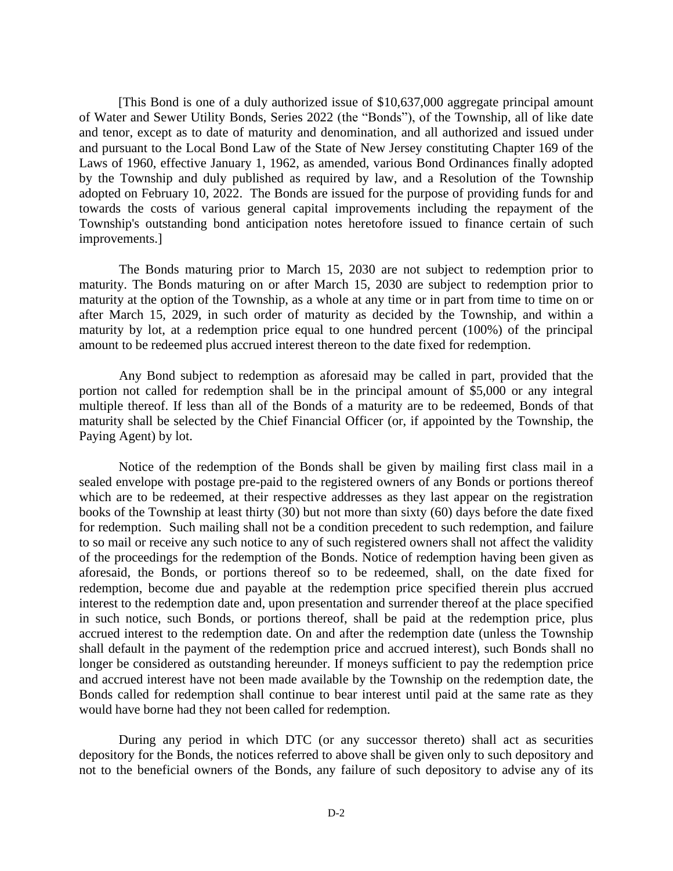[This Bond is one of a duly authorized issue of \$10,637,000 aggregate principal amount of Water and Sewer Utility Bonds, Series 2022 (the "Bonds"), of the Township, all of like date and tenor, except as to date of maturity and denomination, and all authorized and issued under and pursuant to the Local Bond Law of the State of New Jersey constituting Chapter 169 of the Laws of 1960, effective January 1, 1962, as amended, various Bond Ordinances finally adopted by the Township and duly published as required by law, and a Resolution of the Township adopted on February 10, 2022. The Bonds are issued for the purpose of providing funds for and towards the costs of various general capital improvements including the repayment of the Township's outstanding bond anticipation notes heretofore issued to finance certain of such improvements.]

The Bonds maturing prior to March 15, 2030 are not subject to redemption prior to maturity. The Bonds maturing on or after March 15, 2030 are subject to redemption prior to maturity at the option of the Township, as a whole at any time or in part from time to time on or after March 15, 2029, in such order of maturity as decided by the Township, and within a maturity by lot, at a redemption price equal to one hundred percent (100%) of the principal amount to be redeemed plus accrued interest thereon to the date fixed for redemption.

Any Bond subject to redemption as aforesaid may be called in part, provided that the portion not called for redemption shall be in the principal amount of \$5,000 or any integral multiple thereof. If less than all of the Bonds of a maturity are to be redeemed, Bonds of that maturity shall be selected by the Chief Financial Officer (or, if appointed by the Township, the Paying Agent) by lot.

Notice of the redemption of the Bonds shall be given by mailing first class mail in a sealed envelope with postage pre-paid to the registered owners of any Bonds or portions thereof which are to be redeemed, at their respective addresses as they last appear on the registration books of the Township at least thirty (30) but not more than sixty (60) days before the date fixed for redemption. Such mailing shall not be a condition precedent to such redemption, and failure to so mail or receive any such notice to any of such registered owners shall not affect the validity of the proceedings for the redemption of the Bonds. Notice of redemption having been given as aforesaid, the Bonds, or portions thereof so to be redeemed, shall, on the date fixed for redemption, become due and payable at the redemption price specified therein plus accrued interest to the redemption date and, upon presentation and surrender thereof at the place specified in such notice, such Bonds, or portions thereof, shall be paid at the redemption price, plus accrued interest to the redemption date. On and after the redemption date (unless the Township shall default in the payment of the redemption price and accrued interest), such Bonds shall no longer be considered as outstanding hereunder. If moneys sufficient to pay the redemption price and accrued interest have not been made available by the Township on the redemption date, the Bonds called for redemption shall continue to bear interest until paid at the same rate as they would have borne had they not been called for redemption.

During any period in which DTC (or any successor thereto) shall act as securities depository for the Bonds, the notices referred to above shall be given only to such depository and not to the beneficial owners of the Bonds, any failure of such depository to advise any of its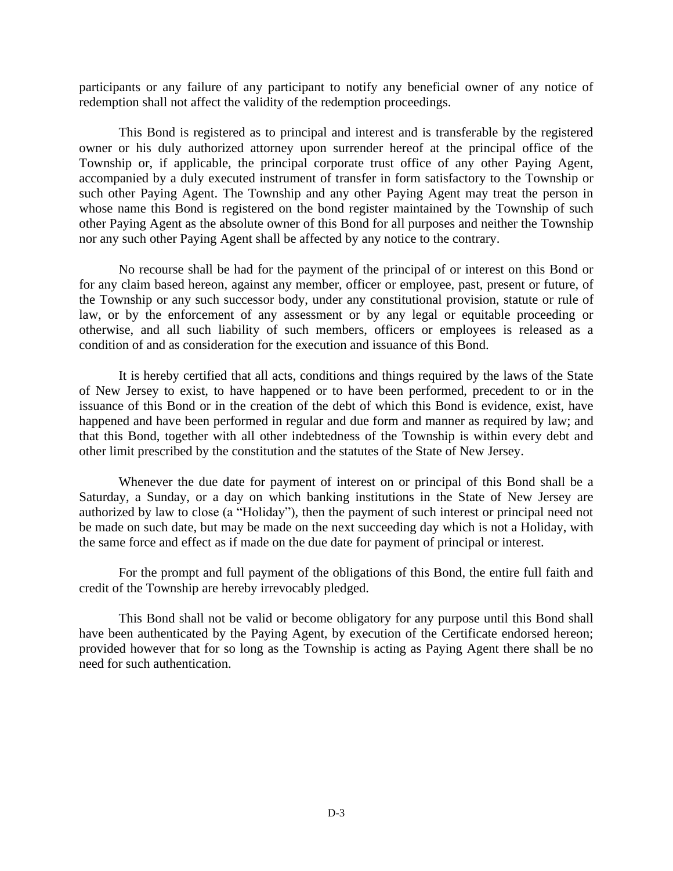participants or any failure of any participant to notify any beneficial owner of any notice of redemption shall not affect the validity of the redemption proceedings.

This Bond is registered as to principal and interest and is transferable by the registered owner or his duly authorized attorney upon surrender hereof at the principal office of the Township or, if applicable, the principal corporate trust office of any other Paying Agent, accompanied by a duly executed instrument of transfer in form satisfactory to the Township or such other Paying Agent. The Township and any other Paying Agent may treat the person in whose name this Bond is registered on the bond register maintained by the Township of such other Paying Agent as the absolute owner of this Bond for all purposes and neither the Township nor any such other Paying Agent shall be affected by any notice to the contrary.

No recourse shall be had for the payment of the principal of or interest on this Bond or for any claim based hereon, against any member, officer or employee, past, present or future, of the Township or any such successor body, under any constitutional provision, statute or rule of law, or by the enforcement of any assessment or by any legal or equitable proceeding or otherwise, and all such liability of such members, officers or employees is released as a condition of and as consideration for the execution and issuance of this Bond.

It is hereby certified that all acts, conditions and things required by the laws of the State of New Jersey to exist, to have happened or to have been performed, precedent to or in the issuance of this Bond or in the creation of the debt of which this Bond is evidence, exist, have happened and have been performed in regular and due form and manner as required by law; and that this Bond, together with all other indebtedness of the Township is within every debt and other limit prescribed by the constitution and the statutes of the State of New Jersey.

Whenever the due date for payment of interest on or principal of this Bond shall be a Saturday, a Sunday, or a day on which banking institutions in the State of New Jersey are authorized by law to close (a "Holiday"), then the payment of such interest or principal need not be made on such date, but may be made on the next succeeding day which is not a Holiday, with the same force and effect as if made on the due date for payment of principal or interest.

For the prompt and full payment of the obligations of this Bond, the entire full faith and credit of the Township are hereby irrevocably pledged.

This Bond shall not be valid or become obligatory for any purpose until this Bond shall have been authenticated by the Paying Agent, by execution of the Certificate endorsed hereon; provided however that for so long as the Township is acting as Paying Agent there shall be no need for such authentication.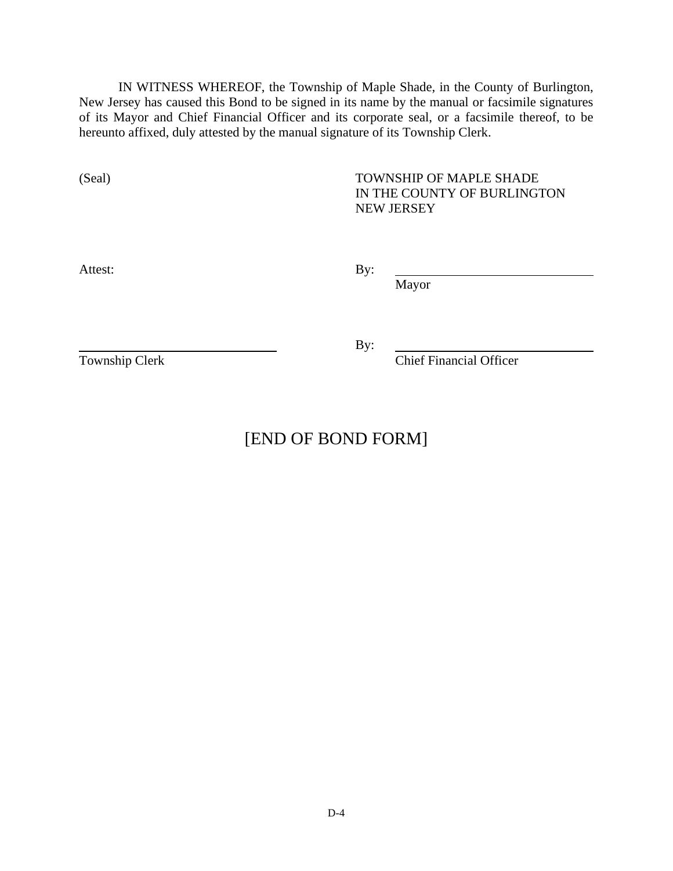IN WITNESS WHEREOF, the Township of Maple Shade, in the County of Burlington, New Jersey has caused this Bond to be signed in its name by the manual or facsimile signatures of its Mayor and Chief Financial Officer and its corporate seal, or a facsimile thereof, to be hereunto affixed, duly attested by the manual signature of its Township Clerk.

(Seal) TOWNSHIP OF MAPLE SHADE IN THE COUNTY OF BURLINGTON NEW JERSEY

Attest: By:

Mayor

By:

Township Clerk Chief Financial Officer

[END OF BOND FORM]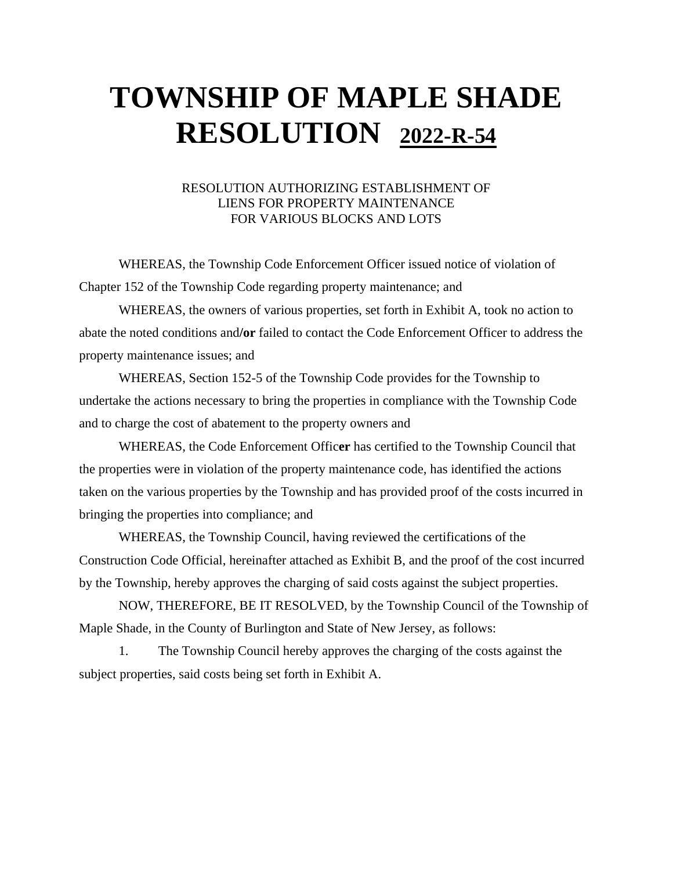## **TOWNSHIP OF MAPLE SHADE RESOLUTION 2022-R-54**

#### RESOLUTION AUTHORIZING ESTABLISHMENT OF LIENS FOR PROPERTY MAINTENANCE FOR VARIOUS BLOCKS AND LOTS

WHEREAS, the Township Code Enforcement Officer issued notice of violation of Chapter 152 of the Township Code regarding property maintenance; and

WHEREAS, the owners of various properties, set forth in Exhibit A, took no action to abate the noted conditions and**/or** failed to contact the Code Enforcement Officer to address the property maintenance issues; and

WHEREAS, Section 152-5 of the Township Code provides for the Township to undertake the actions necessary to bring the properties in compliance with the Township Code and to charge the cost of abatement to the property owners and

WHEREAS, the Code Enforcement Offic**er** has certified to the Township Council that the properties were in violation of the property maintenance code, has identified the actions taken on the various properties by the Township and has provided proof of the costs incurred in bringing the properties into compliance; and

WHEREAS, the Township Council, having reviewed the certifications of the Construction Code Official, hereinafter attached as Exhibit B, and the proof of the cost incurred by the Township, hereby approves the charging of said costs against the subject properties.

NOW, THEREFORE, BE IT RESOLVED, by the Township Council of the Township of Maple Shade, in the County of Burlington and State of New Jersey, as follows:

1. The Township Council hereby approves the charging of the costs against the subject properties, said costs being set forth in Exhibit A.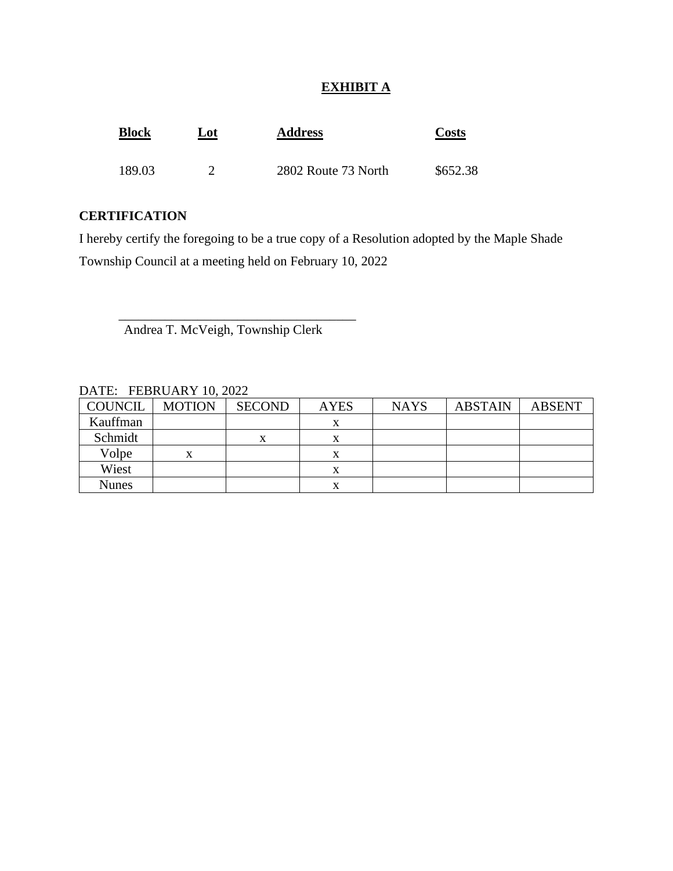## **EXHIBIT A**

| <b>Block</b> | <u>Lot</u> | <b>Address</b>      | <b>Costs</b> |
|--------------|------------|---------------------|--------------|
| 189.03       |            | 2802 Route 73 North | \$652.38     |

### **CERTIFICATION**

I hereby certify the foregoing to be a true copy of a Resolution adopted by the Maple Shade Township Council at a meeting held on February 10, 2022

Andrea T. McVeigh, Township Clerk

\_\_\_\_\_\_\_\_\_\_\_\_\_\_\_\_\_\_\_\_\_\_\_\_\_\_\_\_\_\_\_\_\_\_\_\_

| DAIL. TEDNOANT IV, $2022$ |               |               |             |             |                |               |
|---------------------------|---------------|---------------|-------------|-------------|----------------|---------------|
| COUNCIL                   | <b>MOTION</b> | <b>SECOND</b> | <b>AYES</b> | <b>NAYS</b> | <b>ABSTAIN</b> | <b>ABSENT</b> |
| Kauffman                  |               |               |             |             |                |               |
| Schmidt                   |               | x             |             |             |                |               |
| Volpe                     | X             |               |             |             |                |               |
| Wiest                     |               |               |             |             |                |               |
| <b>Nunes</b>              |               |               |             |             |                |               |

## DATE: FEBRUARY 10, 2022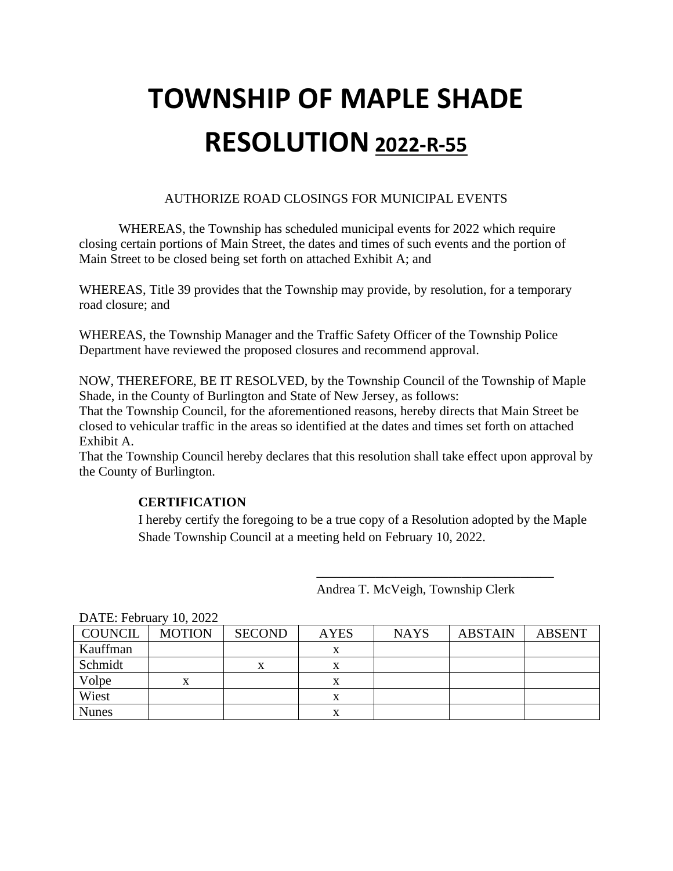# **TOWNSHIP OF MAPLE SHADE RESOLUTION 2022-R-55**

### AUTHORIZE ROAD CLOSINGS FOR MUNICIPAL EVENTS

WHEREAS, the Township has scheduled municipal events for 2022 which require closing certain portions of Main Street, the dates and times of such events and the portion of Main Street to be closed being set forth on attached Exhibit A; and

WHEREAS, Title 39 provides that the Township may provide, by resolution, for a temporary road closure; and

WHEREAS, the Township Manager and the Traffic Safety Officer of the Township Police Department have reviewed the proposed closures and recommend approval.

NOW, THEREFORE, BE IT RESOLVED, by the Township Council of the Township of Maple Shade, in the County of Burlington and State of New Jersey, as follows:

That the Township Council, for the aforementioned reasons, hereby directs that Main Street be closed to vehicular traffic in the areas so identified at the dates and times set forth on attached Exhibit A.

That the Township Council hereby declares that this resolution shall take effect upon approval by the County of Burlington.

### **CERTIFICATION**

I hereby certify the foregoing to be a true copy of a Resolution adopted by the Maple Shade Township Council at a meeting held on February 10, 2022.

| DATE: FEDTUATY 10, $2022$ |               |               |             |             |                |               |
|---------------------------|---------------|---------------|-------------|-------------|----------------|---------------|
| COUNCIL                   | <b>MOTION</b> | <b>SECOND</b> | <b>AYES</b> | <b>NAYS</b> | <b>ABSTAIN</b> | <b>ABSENT</b> |
| Kauffman                  |               |               |             |             |                |               |
| Schmidt                   |               | x             |             |             |                |               |
| Volpe                     | X             |               | х           |             |                |               |
| Wiest                     |               |               |             |             |                |               |
| <b>Nunes</b>              |               |               |             |             |                |               |

Andrea T. McVeigh, Township Clerk

\_\_\_\_\_\_\_\_\_\_\_\_\_\_\_\_\_\_\_\_\_\_\_\_\_\_\_\_\_\_\_\_\_\_\_\_

 $DATE, E.E., ... 10, 2022$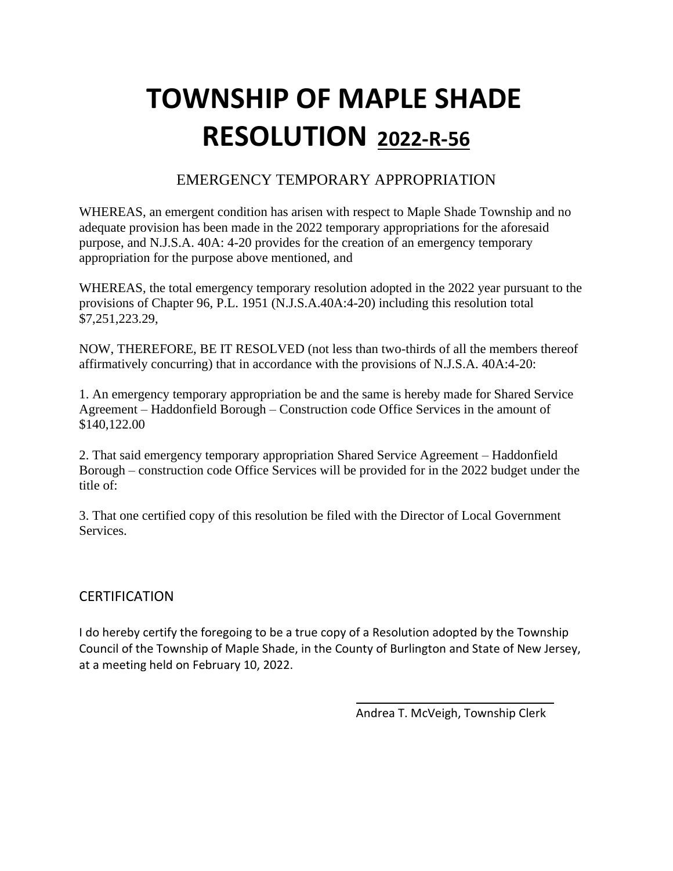# **TOWNSHIP OF MAPLE SHADE RESOLUTION 2022-R-56**

## EMERGENCY TEMPORARY APPROPRIATION

WHEREAS, an emergent condition has arisen with respect to Maple Shade Township and no adequate provision has been made in the 2022 temporary appropriations for the aforesaid purpose, and N.J.S.A. 40A: 4-20 provides for the creation of an emergency temporary appropriation for the purpose above mentioned, and

WHEREAS, the total emergency temporary resolution adopted in the 2022 year pursuant to the provisions of Chapter 96, P.L. 1951 (N.J.S.A.40A:4-20) including this resolution total \$7,251,223.29,

NOW, THEREFORE, BE IT RESOLVED (not less than two-thirds of all the members thereof affirmatively concurring) that in accordance with the provisions of N.J.S.A. 40A:4-20:

1. An emergency temporary appropriation be and the same is hereby made for Shared Service Agreement – Haddonfield Borough – Construction code Office Services in the amount of \$140,122.00

2. That said emergency temporary appropriation Shared Service Agreement – Haddonfield Borough – construction code Office Services will be provided for in the 2022 budget under the title of:

3. That one certified copy of this resolution be filed with the Director of Local Government Services.

## **CERTIFICATION**

I do hereby certify the foregoing to be a true copy of a Resolution adopted by the Township Council of the Township of Maple Shade, in the County of Burlington and State of New Jersey, at a meeting held on February 10, 2022.

Andrea T. McVeigh, Township Clerk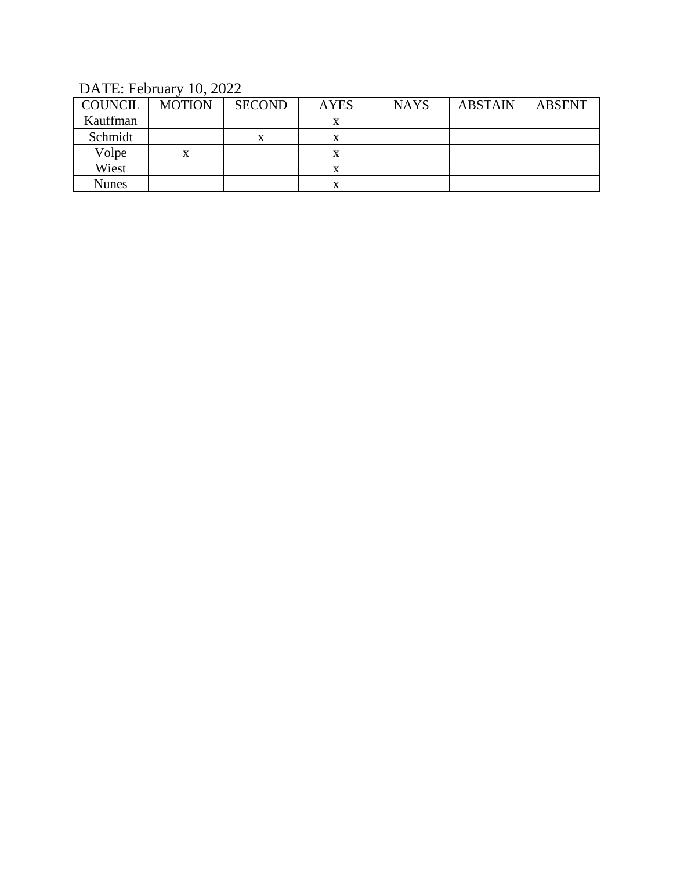DATE: February 10, 2022

| <b>COUNCIL</b> | <b>MOTION</b> | <b>SECOND</b> | <b>AYES</b> | <b>NAYS</b> | <b>ABSTAIN</b> | <b>ABSENT</b> |
|----------------|---------------|---------------|-------------|-------------|----------------|---------------|
| Kauffman       |               |               | х           |             |                |               |
| Schmidt        |               |               | л           |             |                |               |
| Volpe          | x             |               | х           |             |                |               |
| Wiest          |               |               | л           |             |                |               |
| <b>Nunes</b>   |               |               |             |             |                |               |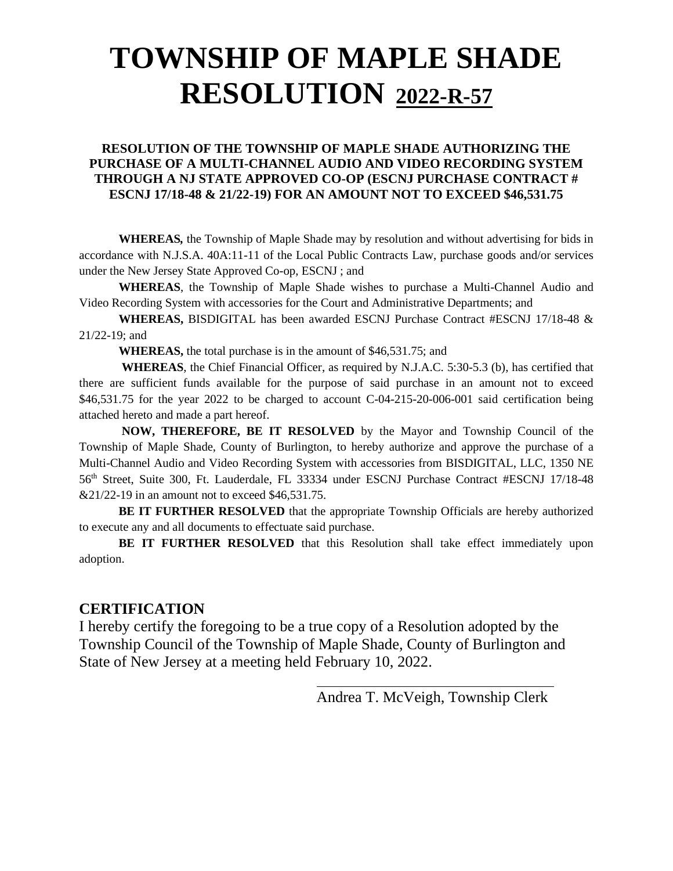## **TOWNSHIP OF MAPLE SHADE RESOLUTION 2022-R-57**

#### **RESOLUTION OF THE TOWNSHIP OF MAPLE SHADE AUTHORIZING THE PURCHASE OF A MULTI-CHANNEL AUDIO AND VIDEO RECORDING SYSTEM THROUGH A NJ STATE APPROVED CO-OP (ESCNJ PURCHASE CONTRACT # ESCNJ 17/18-48 & 21/22-19) FOR AN AMOUNT NOT TO EXCEED \$46,531.75**

**WHEREAS***,* the Township of Maple Shade may by resolution and without advertising for bids in accordance with N.J.S.A. 40A:11-11 of the Local Public Contracts Law, purchase goods and/or services under the New Jersey State Approved Co-op, ESCNJ ; and

**WHEREAS**, the Township of Maple Shade wishes to purchase a Multi-Channel Audio and Video Recording System with accessories for the Court and Administrative Departments; and

**WHEREAS,** BISDIGITAL has been awarded ESCNJ Purchase Contract #ESCNJ 17/18-48 & 21/22-19; and

**WHEREAS,** the total purchase is in the amount of \$46,531.75; and

**WHEREAS**, the Chief Financial Officer, as required by N.J.A.C. 5:30-5.3 (b), has certified that there are sufficient funds available for the purpose of said purchase in an amount not to exceed \$46,531.75 for the year 2022 to be charged to account C-04-215-20-006-001 said certification being attached hereto and made a part hereof.

**NOW, THEREFORE, BE IT RESOLVED** by the Mayor and Township Council of the Township of Maple Shade, County of Burlington, to hereby authorize and approve the purchase of a Multi-Channel Audio and Video Recording System with accessories from BISDIGITAL, LLC, 1350 NE 56th Street, Suite 300, Ft. Lauderdale, FL 33334 under ESCNJ Purchase Contract #ESCNJ 17/18-48 &21/22-19 in an amount not to exceed \$46,531.75.

**BE IT FURTHER RESOLVED** that the appropriate Township Officials are hereby authorized to execute any and all documents to effectuate said purchase.

**BE IT FURTHER RESOLVED** that this Resolution shall take effect immediately upon adoption.

### **CERTIFICATION**

I hereby certify the foregoing to be a true copy of a Resolution adopted by the Township Council of the Township of Maple Shade, County of Burlington and State of New Jersey at a meeting held February 10, 2022.

Andrea T. McVeigh, Township Clerk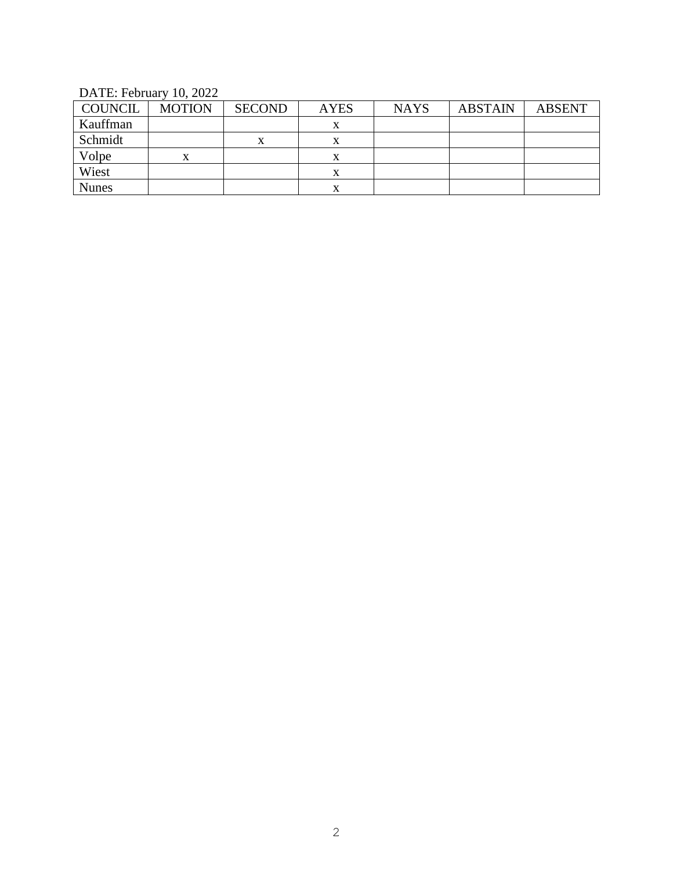DATE: February 10, 2022

| COUNCIL      | <b>MOTION</b> | <b>SECOND</b> | <b>AYES</b> | <b>NAYS</b> | <b>ABSTAIN</b> | <b>ABSENT</b> |
|--------------|---------------|---------------|-------------|-------------|----------------|---------------|
| Kauffman     |               |               |             |             |                |               |
| Schmidt      |               | x             |             |             |                |               |
| Volpe        |               |               |             |             |                |               |
| Wiest        |               |               |             |             |                |               |
| <b>Nunes</b> |               |               |             |             |                |               |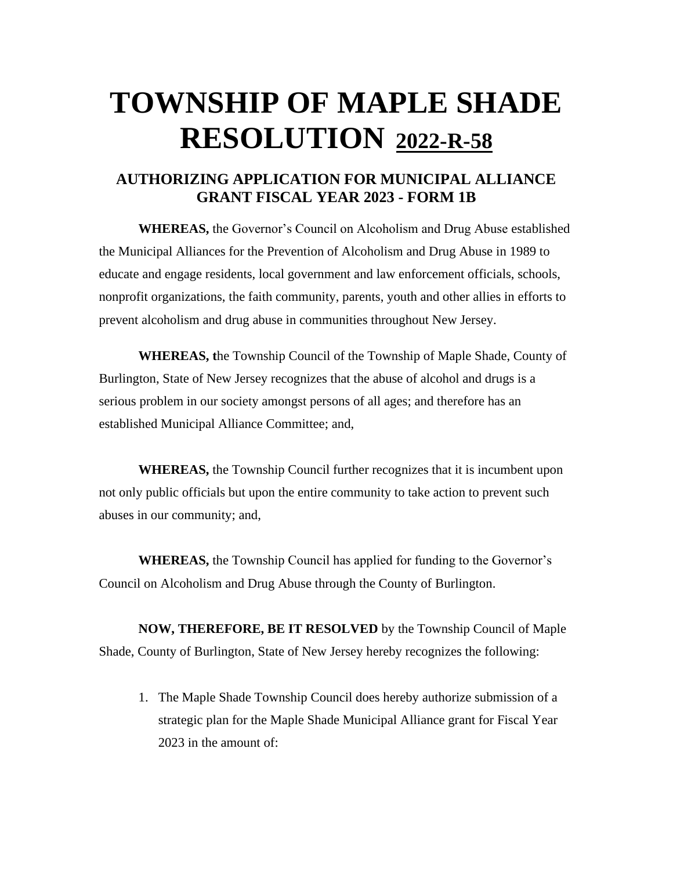## **TOWNSHIP OF MAPLE SHADE RESOLUTION 2022-R-58**

## **AUTHORIZING APPLICATION FOR MUNICIPAL ALLIANCE GRANT FISCAL YEAR 2023 - FORM 1B**

**WHEREAS,** the Governor's Council on Alcoholism and Drug Abuse established the Municipal Alliances for the Prevention of Alcoholism and Drug Abuse in 1989 to educate and engage residents, local government and law enforcement officials, schools, nonprofit organizations, the faith community, parents, youth and other allies in efforts to prevent alcoholism and drug abuse in communities throughout New Jersey.

**WHEREAS, t**he Township Council of the Township of Maple Shade, County of Burlington, State of New Jersey recognizes that the abuse of alcohol and drugs is a serious problem in our society amongst persons of all ages; and therefore has an established Municipal Alliance Committee; and,

**WHEREAS,** the Township Council further recognizes that it is incumbent upon not only public officials but upon the entire community to take action to prevent such abuses in our community; and,

**WHEREAS,** the Township Council has applied for funding to the Governor's Council on Alcoholism and Drug Abuse through the County of Burlington.

**NOW, THEREFORE, BE IT RESOLVED** by the Township Council of Maple Shade, County of Burlington, State of New Jersey hereby recognizes the following:

1. The Maple Shade Township Council does hereby authorize submission of a strategic plan for the Maple Shade Municipal Alliance grant for Fiscal Year 2023 in the amount of: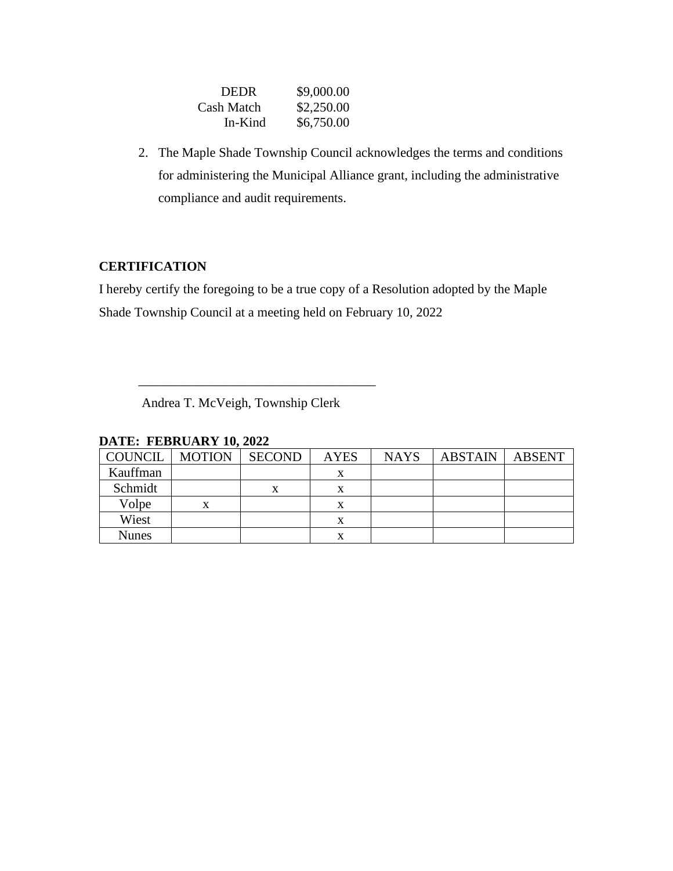| <b>DEDR</b> | \$9,000.00 |
|-------------|------------|
| Cash Match  | \$2,250.00 |
| In-Kind     | \$6,750.00 |

2. The Maple Shade Township Council acknowledges the terms and conditions for administering the Municipal Alliance grant, including the administrative compliance and audit requirements.

## **CERTIFICATION**

I hereby certify the foregoing to be a true copy of a Resolution adopted by the Maple Shade Township Council at a meeting held on February 10, 2022

Andrea T. McVeigh, Township Clerk

\_\_\_\_\_\_\_\_\_\_\_\_\_\_\_\_\_\_\_\_\_\_\_\_\_\_\_\_\_\_\_\_\_\_\_\_

| <b>COUNCIL</b> | <b>MOTION</b> | <b>SECOND</b> | <b>AYES</b> | <b>NAYS</b> | <b>ABSTAIN</b> | ABSENT |
|----------------|---------------|---------------|-------------|-------------|----------------|--------|
| Kauffman       |               |               | X           |             |                |        |
| Schmidt        |               |               | x           |             |                |        |
| Volpe          | х             |               | x           |             |                |        |
| Wiest          |               |               | x           |             |                |        |
| Nunes          |               |               | x           |             |                |        |

#### **DATE: FEBRUARY 10, 2022**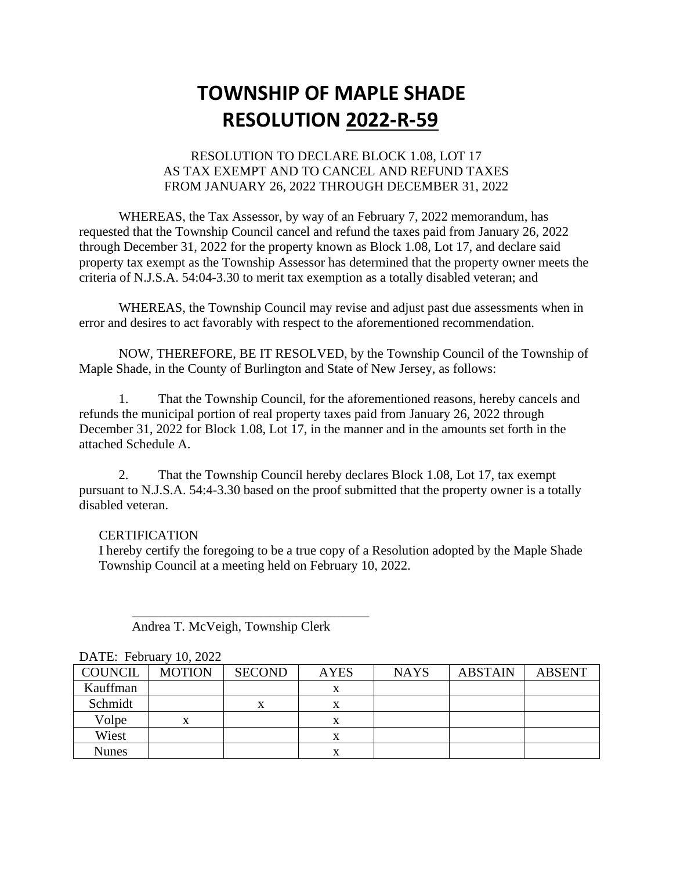## **TOWNSHIP OF MAPLE SHADE RESOLUTION 2022-R-59**

#### RESOLUTION TO DECLARE BLOCK 1.08, LOT 17 AS TAX EXEMPT AND TO CANCEL AND REFUND TAXES FROM JANUARY 26, 2022 THROUGH DECEMBER 31, 2022

WHEREAS, the Tax Assessor, by way of an February 7, 2022 memorandum, has requested that the Township Council cancel and refund the taxes paid from January 26, 2022 through December 31, 2022 for the property known as Block 1.08, Lot 17, and declare said property tax exempt as the Township Assessor has determined that the property owner meets the criteria of N.J.S.A. 54:04-3.30 to merit tax exemption as a totally disabled veteran; and

WHEREAS, the Township Council may revise and adjust past due assessments when in error and desires to act favorably with respect to the aforementioned recommendation.

NOW, THEREFORE, BE IT RESOLVED, by the Township Council of the Township of Maple Shade, in the County of Burlington and State of New Jersey, as follows:

1. That the Township Council, for the aforementioned reasons, hereby cancels and refunds the municipal portion of real property taxes paid from January 26, 2022 through December 31, 2022 for Block 1.08, Lot 17, in the manner and in the amounts set forth in the attached Schedule A.

2. That the Township Council hereby declares Block 1.08, Lot 17, tax exempt pursuant to N.J.S.A. 54:4-3.30 based on the proof submitted that the property owner is a totally disabled veteran.

#### **CERTIFICATION**

DATE: February 10, 2022

I hereby certify the foregoing to be a true copy of a Resolution adopted by the Maple Shade Township Council at a meeting held on February 10, 2022.

| <b>COUNCIL</b> | <b>MOTION</b> | <b>SECOND</b> | <b>AYES</b> | <b>NAYS</b> | <b>ABSTAIN</b> | <b>ABSENT</b> |
|----------------|---------------|---------------|-------------|-------------|----------------|---------------|
| Kauffman       |               |               | x           |             |                |               |
| Schmidt        |               | x             | x           |             |                |               |
| Volpe          | x             |               | x           |             |                |               |
| Wiest          |               |               | x           |             |                |               |
| <b>Nunes</b>   |               |               | x           |             |                |               |

### Andrea T. McVeigh, Township Clerk

 $\overline{\phantom{a}}$  , which is the set of the set of the set of the set of the set of the set of the set of the set of the set of the set of the set of the set of the set of the set of the set of the set of the set of the set of